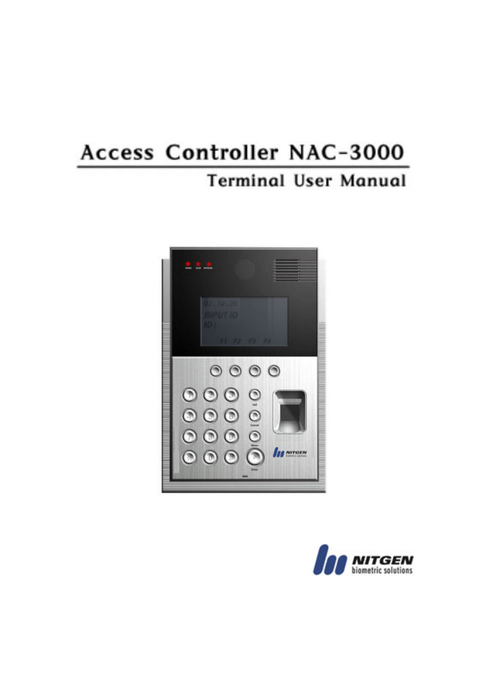# Access Controller NAC-3000

# **Terminal User Manual**



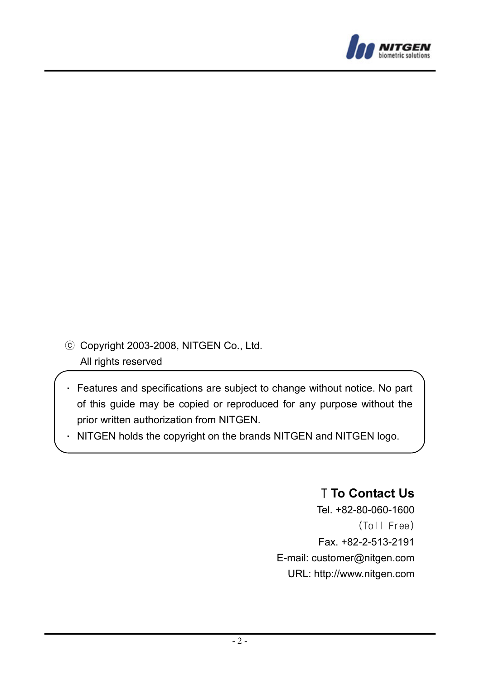

ⓒ Copyright 2003-2008, NITGEN Co., Ltd. All rights reserved

- Features and specifications are subject to change without notice. No part of this guide may be copied or reproduced for any purpose without the prior written authorization from NITGEN.
- $\cdot$  NITGEN holds the copyright on the brands NITGEN and NITGEN logo.

# T **To Contact Us**

Tel. +82-80-060-1600 (Toll Free) Fax. +82-2-513-2191 E-mail: customer@nitgen.com URL: http://www.nitgen.com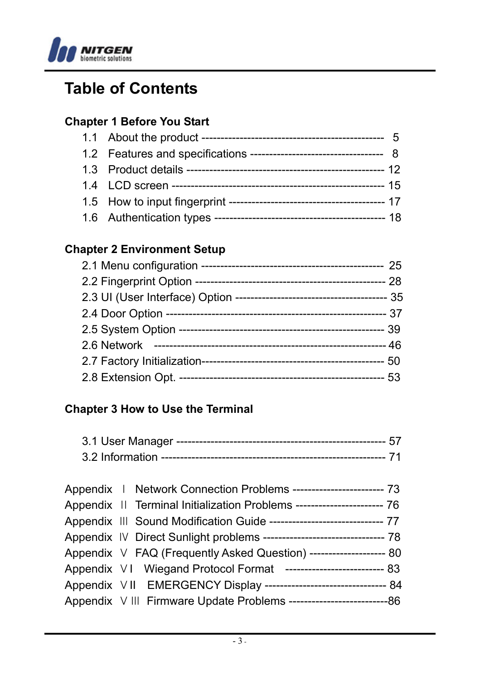

# **Table of Contents**

## **Chapter 1 Before You Start**

# **Chapter 2 Environment Setup**

## **Chapter 3 How to Use the Terminal**

| Appendix   Network Connection Problems ------------------------- 73      |
|--------------------------------------------------------------------------|
| Appendix II Terminal Initialization Problems ------------------------ 76 |
| Appendix III Sound Modification Guide ------------------------------ 77  |
|                                                                          |
| Appendix V FAQ (Frequently Asked Question) --------------------- 80      |
| Appendix VI Wiegand Protocol Format -------------------------- 83        |
| Appendix VII EMERGENCY Display ----------------------------------- 84    |
|                                                                          |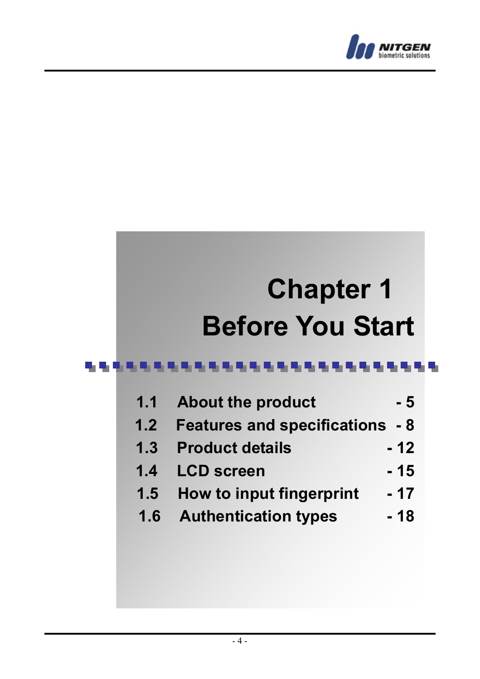

# **Chapter 1 Before You Start**

#### 电电枢电压电压电压 ................

| 1.1           | <b>About the product</b>           | - 5   |
|---------------|------------------------------------|-------|
| 1.2           | <b>Features and specifications</b> | - 8   |
| 1.3           | <b>Product details</b>             | $-12$ |
| 1.4           | <b>LCD</b> screen                  | - 15  |
| $1.5^{\circ}$ | How to input fingerprint           | - 17  |
| 1.6           | <b>Authentication types</b>        | - 18  |
|               |                                    |       |
|               |                                    |       |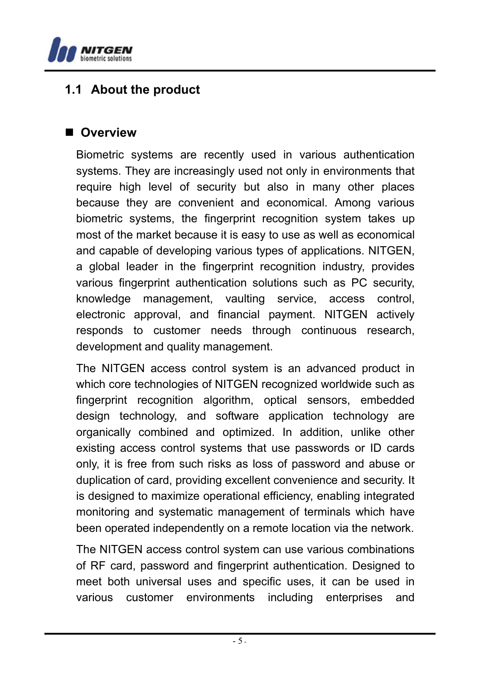

# **1.1 About the product**

#### **Overview**

Biometric systems are recently used in various authentication systems. They are increasingly used not only in environments that require high level of security but also in many other places because they are convenient and economical. Among various biometric systems, the fingerprint recognition system takes up most of the market because it is easy to use as well as economical and capable of developing various types of applications. NITGEN, a global leader in the fingerprint recognition industry, provides various fingerprint authentication solutions such as PC security, knowledge management, vaulting service, access control, electronic approval, and financial payment. NITGEN actively responds to customer needs through continuous research, development and quality management.

The NITGEN access control system is an advanced product in which core technologies of NITGEN recognized worldwide such as fingerprint recognition algorithm, optical sensors, embedded design technology, and software application technology are organically combined and optimized. In addition, unlike other existing access control systems that use passwords or ID cards only, it is free from such risks as loss of password and abuse or duplication of card, providing excellent convenience and security. It is designed to maximize operational efficiency, enabling integrated monitoring and systematic management of terminals which have been operated independently on a remote location via the network.

The NITGEN access control system can use various combinations of RF card, password and fingerprint authentication. Designed to meet both universal uses and specific uses, it can be used in various customer environments including enterprises and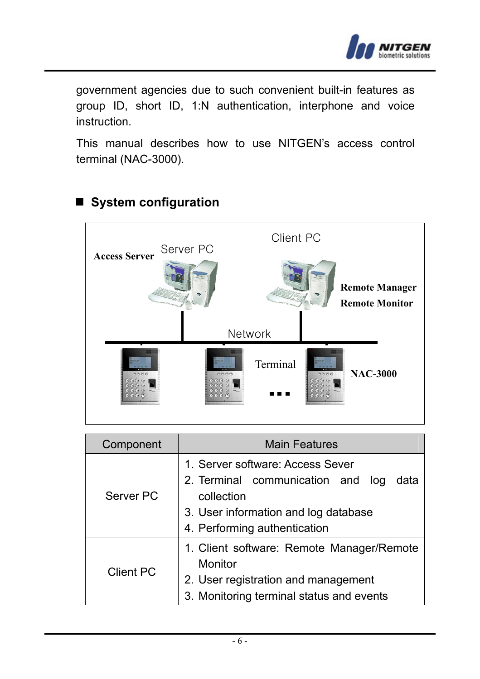

government agencies due to such convenient built-in features as group ID, short ID, 1:N authentication, interphone and voice instruction.

This manual describes how to use NITGEN's access control terminal (NAC-3000).



# ■ System configuration

| Component | <b>Main Features</b>                                                                                                                                                |  |  |
|-----------|---------------------------------------------------------------------------------------------------------------------------------------------------------------------|--|--|
| Server PC | 1. Server software: Access Sever<br>2. Terminal communication and log<br>data<br>collection<br>3. User information and log database<br>4. Performing authentication |  |  |
| Client PC | 1. Client software: Remote Manager/Remote<br>Monitor<br>2. User registration and management<br>3. Monitoring terminal status and events                             |  |  |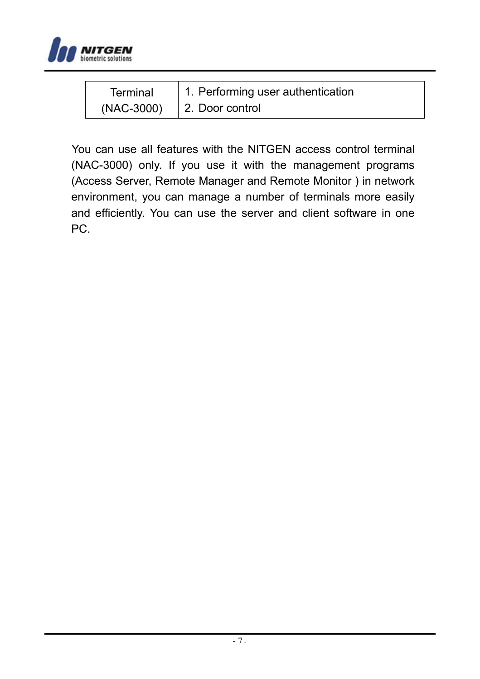

| Terminal   | 1. Performing user authentication |
|------------|-----------------------------------|
| (NAC-3000) | 2. Door control                   |

You can use all features with the NITGEN access control terminal (NAC-3000) only. If you use it with the management programs (Access Server, Remote Manager and Remote Monitor ) in network environment, you can manage a number of terminals more easily and efficiently. You can use the server and client software in one PC.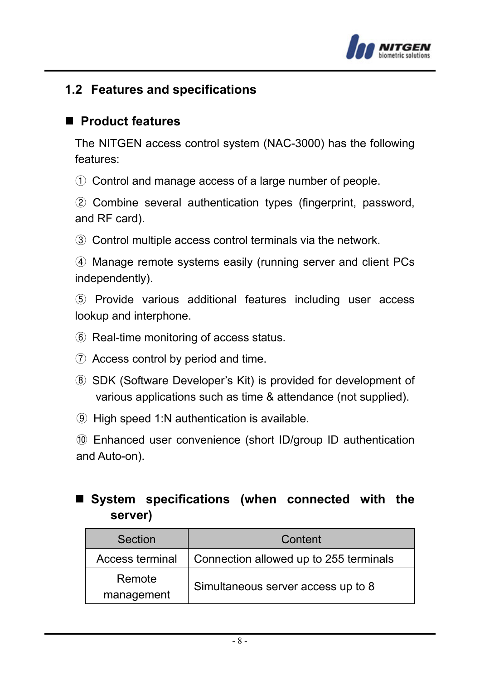

# **1.2 Features and specifications**

#### **Product features**

The NITGEN access control system (NAC-3000) has the following features:

① Control and manage access of a large number of people.

② Combine several authentication types (fingerprint, password, and RF card).

③ Control multiple access control terminals via the network.

④ Manage remote systems easily (running server and client PCs independently).

⑤ Provide various additional features including user access lookup and interphone.

- ⑥ Real-time monitoring of access status.
- ⑦ Access control by period and time.
- ⑧ SDK (Software Developer's Kit) is provided for development of various applications such as time & attendance (not supplied).
- ⑨ High speed 1:N authentication is available.

⑩ Enhanced user convenience (short ID/group ID authentication and Auto-on).

# ■ System specifications (when connected with the **server)**

| Section              | Content                                |
|----------------------|----------------------------------------|
| Access terminal      | Connection allowed up to 255 terminals |
| Remote<br>management | Simultaneous server access up to 8     |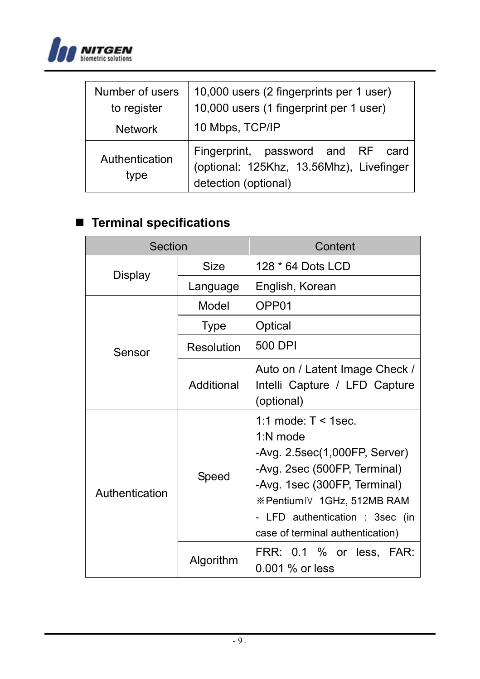

| Number of users<br>to register | 10,000 users (2 fingerprints per 1 user)<br>10,000 users (1 fingerprint per 1 user)                   |  |  |
|--------------------------------|-------------------------------------------------------------------------------------------------------|--|--|
| <b>Network</b>                 | 10 Mbps, TCP/IP                                                                                       |  |  |
| Authentication<br>type         | Fingerprint, password and RF card<br>(optional: 125Khz, 13.56Mhz), Livefinger<br>detection (optional) |  |  |

# **Terminal specifications**

| Section        |             | Content                                                                                                                                                                                                                                  |
|----------------|-------------|------------------------------------------------------------------------------------------------------------------------------------------------------------------------------------------------------------------------------------------|
| Display        | Size        | 128 * 64 Dots LCD                                                                                                                                                                                                                        |
|                | Language    | English, Korean                                                                                                                                                                                                                          |
|                | Model       | OPP01                                                                                                                                                                                                                                    |
|                | <b>Type</b> | Optical                                                                                                                                                                                                                                  |
| Sensor         | Resolution  | 500 DPI                                                                                                                                                                                                                                  |
|                | Additional  | Auto on / Latent Image Check /<br>Intelli Capture / LFD Capture<br>(optional)                                                                                                                                                            |
| Authentication | Speed       | 1:1 mode: $T < 1$ sec.<br>1:N mode<br>-Avg. 2.5sec(1,000FP, Server)<br>-Avg. 2sec (500FP, Terminal)<br>-Avg. 1sec (300FP, Terminal)<br>※PentiumIV 1GHz, 512MB RAM<br>- LFD authentication : 3sec (in<br>case of terminal authentication) |
|                | Algorithm   | FRR: 0.1 % or less, FAR:<br>$0.001$ % or less                                                                                                                                                                                            |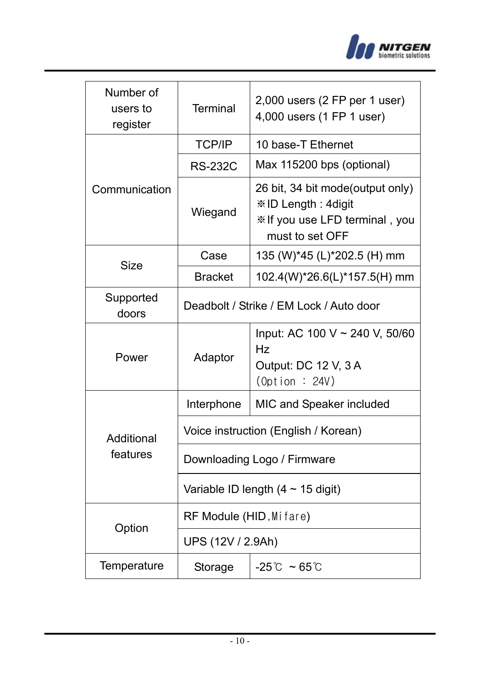

| Number of<br>users to<br>register | <b>Terminal</b>                         | 2,000 users (2 FP per 1 user)<br>4,000 users (1 FP 1 user)                                                  |  |
|-----------------------------------|-----------------------------------------|-------------------------------------------------------------------------------------------------------------|--|
|                                   | <b>TCP/IP</b>                           | 10 base-T Ethernet                                                                                          |  |
|                                   | <b>RS-232C</b>                          | Max 115200 bps (optional)                                                                                   |  |
| Communication                     | Wiegand                                 | 26 bit, 34 bit mode(output only)<br>※ID Length: 4digit<br>* If you use LFD terminal, you<br>must to set OFF |  |
| Size                              | Case                                    | 135 (W)*45 (L)*202.5 (H) mm                                                                                 |  |
|                                   | <b>Bracket</b>                          | 102.4(W)*26.6(L)*157.5(H) mm                                                                                |  |
| Supported<br>doors                | Deadbolt / Strike / EM Lock / Auto door |                                                                                                             |  |
| Power                             | Adaptor                                 | Input: AC 100 V ~ 240 V, 50/60<br>Hz<br>Output: DC 12 V, 3 A<br>(0ption : 24V)                              |  |
|                                   | Interphone                              | MIC and Speaker included                                                                                    |  |
| Additional                        | Voice instruction (English / Korean)    |                                                                                                             |  |
| features                          | Downloading Logo / Firmware             |                                                                                                             |  |
|                                   | Variable ID length (4 $\sim$ 15 digit)  |                                                                                                             |  |
|                                   | RF Module (HID, Mifare)                 |                                                                                                             |  |
| Option                            | UPS (12V / 2.9Ah)                       |                                                                                                             |  |
| Temperature                       | Storage                                 | $-25^{\circ}$ ~ 65 $^{\circ}$ C                                                                             |  |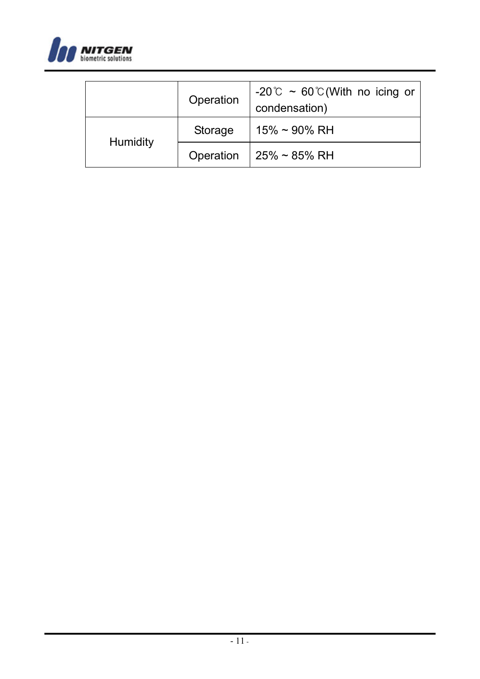

|          | Operation | -20°C ~ 60°C (With no icing or<br>condensation) |
|----------|-----------|-------------------------------------------------|
|          | Storage   | $15\% \sim 90\% \text{ RH}$                     |
| Humidity | Operation | 25% ~ 85% RH                                    |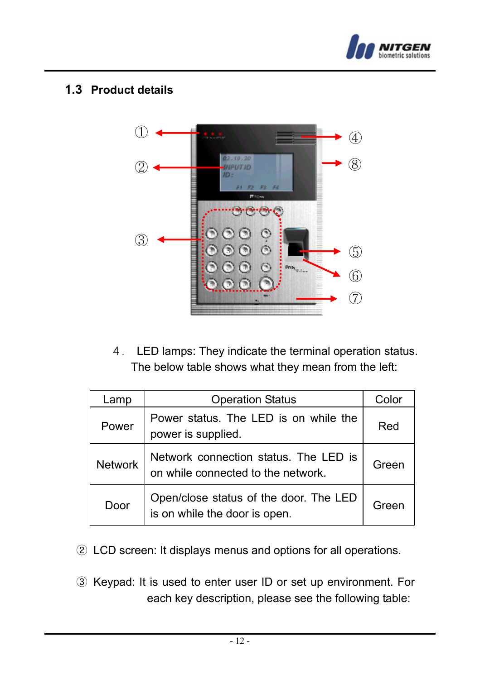

#### **1.3 Product details**



4. LED lamps: They indicate the terminal operation status. The below table shows what they mean from the left:

| Lamp           | <b>Operation Status</b>                                                     | Color |
|----------------|-----------------------------------------------------------------------------|-------|
| Power          | Power status. The LED is on while the<br>power is supplied.                 | Red   |
| <b>Network</b> | Network connection status. The LED is<br>on while connected to the network. | Green |
| Door           | Open/close status of the door. The LED<br>is on while the door is open.     | Green |

- ② LCD screen: It displays menus and options for all operations.
- ③ Keypad: It is used to enter user ID or set up environment. For each key description, please see the following table: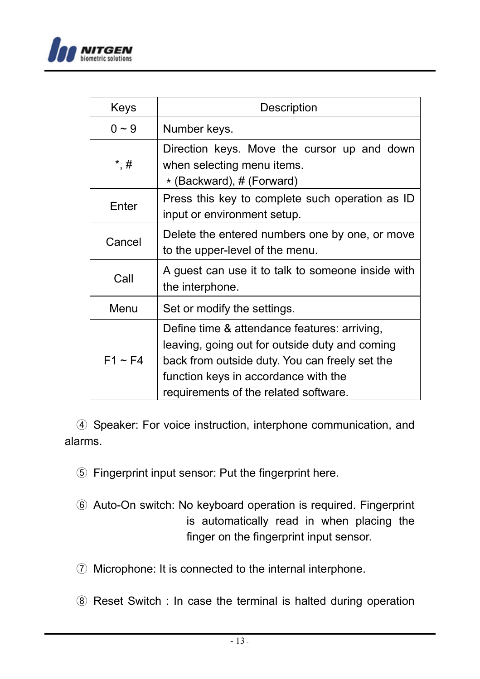

| Keys         | Description                                                                                                                                                                                                                       |  |  |
|--------------|-----------------------------------------------------------------------------------------------------------------------------------------------------------------------------------------------------------------------------------|--|--|
| $0 - 9$      | Number keys.                                                                                                                                                                                                                      |  |  |
| *,#          | Direction keys. Move the cursor up and down<br>when selecting menu items.<br>* (Backward), # (Forward)                                                                                                                            |  |  |
| Enter        | Press this key to complete such operation as ID<br>input or environment setup.                                                                                                                                                    |  |  |
| Cancel       | Delete the entered numbers one by one, or move<br>to the upper-level of the menu.                                                                                                                                                 |  |  |
| Call         | A guest can use it to talk to someone inside with<br>the interphone.                                                                                                                                                              |  |  |
| Menu         | Set or modify the settings.                                                                                                                                                                                                       |  |  |
| $F1 \sim F4$ | Define time & attendance features: arriving,<br>leaving, going out for outside duty and coming<br>back from outside duty. You can freely set the<br>function keys in accordance with the<br>requirements of the related software. |  |  |

④ Speaker: For voice instruction, interphone communication, and alarms.

- ⑤ Fingerprint input sensor: Put the fingerprint here.
- ⑥ Auto-On switch: No keyboard operation is required. Fingerprint is automatically read in when placing the finger on the fingerprint input sensor.
- ⑦ Microphone: It is connected to the internal interphone.
- ⑧ Reset Switch : In case the terminal is halted during operation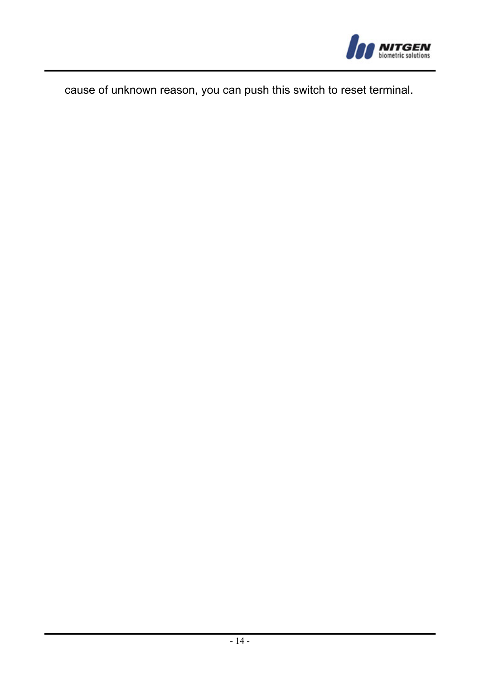

cause of unknown reason, you can push this switch to reset terminal.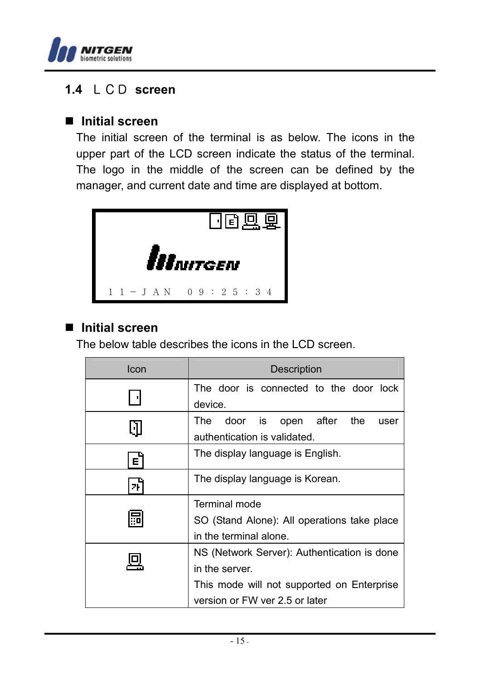

# **1.4** LCD **screen**

#### ■ Initial screen

The initial screen of the terminal is as below. The icons in the upper part of the LCD screen indicate the status of the terminal. The logo in the middle of the screen can be defined by the manager, and current date and time are displayed at bottom.



# ■ Initial screen

The below table describes the icons in the LCD screen.

| Icon         | Description                                 |  |  |  |
|--------------|---------------------------------------------|--|--|--|
|              | The door is connected to the door lock      |  |  |  |
|              | device.                                     |  |  |  |
| N            | door is open after<br>the<br>The<br>user    |  |  |  |
|              | authentication is validated.                |  |  |  |
| $\mathsf{E}$ | The display language is English.            |  |  |  |
| 2Ū           | The display language is Korean.             |  |  |  |
|              | Terminal mode                               |  |  |  |
|              | SO (Stand Alone): All operations take place |  |  |  |
|              | in the terminal alone.                      |  |  |  |
|              | NS (Network Server): Authentication is done |  |  |  |
|              | in the server.                              |  |  |  |
|              | This mode will not supported on Enterprise  |  |  |  |
|              | version or FW ver 2.5 or later              |  |  |  |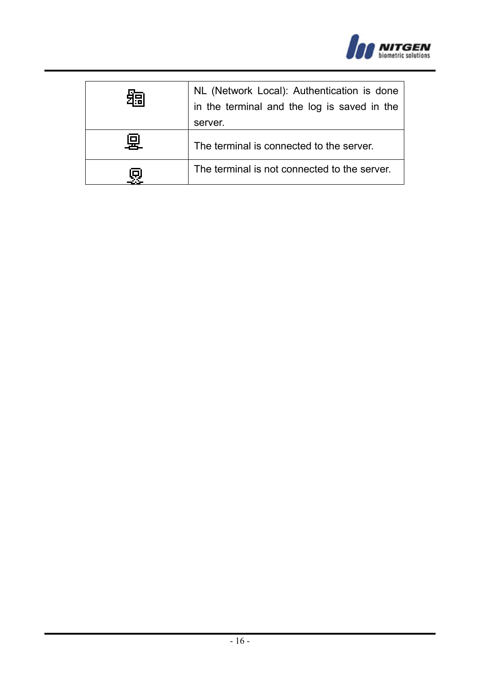

| 15 | NL (Network Local): Authentication is done<br>in the terminal and the log is saved in the |  |
|----|-------------------------------------------------------------------------------------------|--|
|    |                                                                                           |  |
|    | server.                                                                                   |  |
| 回  | The terminal is connected to the server.                                                  |  |
|    | The terminal is not connected to the server.                                              |  |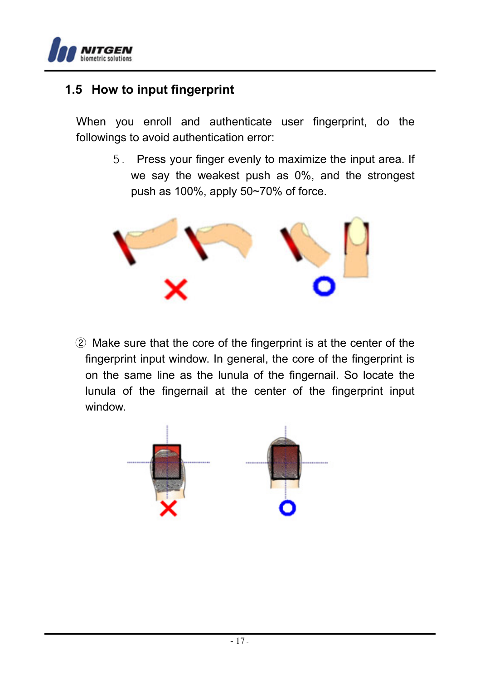

# **1.5 How to input fingerprint**

When you enroll and authenticate user fingerprint, do the followings to avoid authentication error:

> 5. Press your finger evenly to maximize the input area. If we say the weakest push as 0%, and the strongest push as 100%, apply 50~70% of force.



② Make sure that the core of the fingerprint is at the center of the fingerprint input window. In general, the core of the fingerprint is on the same line as the lunula of the fingernail. So locate the lunula of the fingernail at the center of the fingerprint input window.

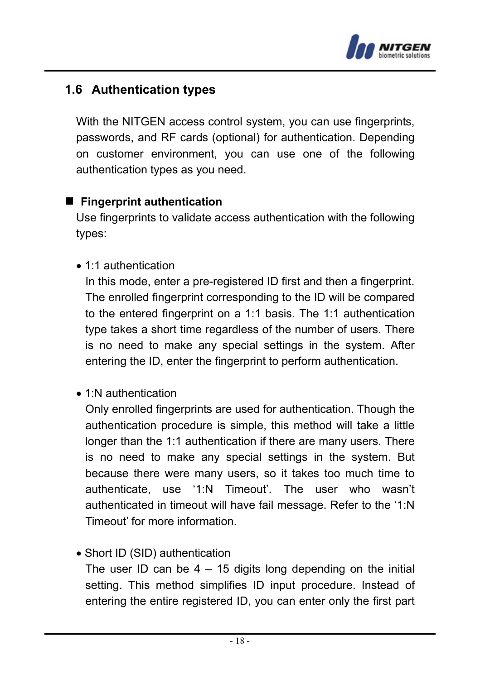

# **1.6 Authentication types**

With the NITGEN access control system, you can use fingerprints, passwords, and RF cards (optional) for authentication. Depending on customer environment, you can use one of the following authentication types as you need.

#### **Fingerprint authentication**

Use fingerprints to validate access authentication with the following types:

• 1:1 authentication

In this mode, enter a pre-registered ID first and then a fingerprint. The enrolled fingerprint corresponding to the ID will be compared to the entered fingerprint on a 1:1 basis. The 1:1 authentication type takes a short time regardless of the number of users. There is no need to make any special settings in the system. After entering the ID, enter the fingerprint to perform authentication.

• 1:N authentication

Only enrolled fingerprints are used for authentication. Though the authentication procedure is simple, this method will take a little longer than the 1:1 authentication if there are many users. There is no need to make any special settings in the system. But because there were many users, so it takes too much time to authenticate, use '1:N Timeout'. The user who wasn't authenticated in timeout will have fail message. Refer to the '1:N Timeout' for more information.

• Short ID (SID) authentication

The user ID can be  $4 - 15$  digits long depending on the initial setting. This method simplifies ID input procedure. Instead of entering the entire registered ID, you can enter only the first part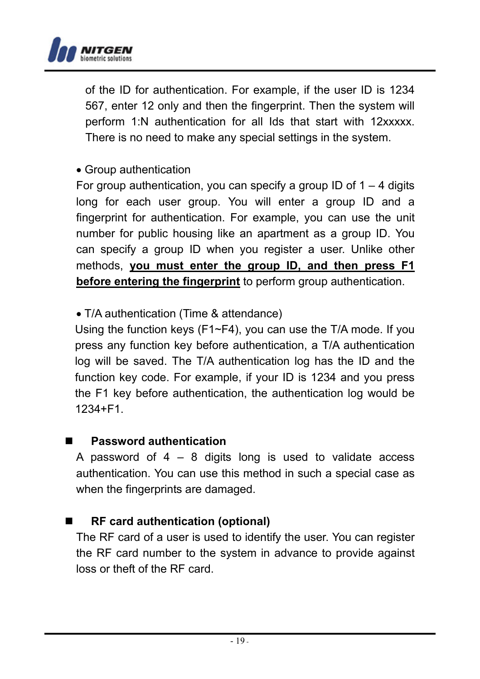

of the ID for authentication. For example, if the user ID is 1234 567, enter 12 only and then the fingerprint. Then the system will perform 1:N authentication for all Ids that start with 12xxxxx. There is no need to make any special settings in the system.

#### • Group authentication

For group authentication, you can specify a group ID of  $1 - 4$  digits long for each user group. You will enter a group ID and a fingerprint for authentication. For example, you can use the unit number for public housing like an apartment as a group ID. You can specify a group ID when you register a user. Unlike other methods, **you must enter the group ID, and then press F1 before entering the fingerprint** to perform group authentication.

#### • T/A authentication (Time & attendance)

Using the function keys (F1~F4), you can use the T/A mode. If you press any function key before authentication, a T/A authentication log will be saved. The T/A authentication log has the ID and the function key code. For example, if your ID is 1234 and you press the F1 key before authentication, the authentication log would be 1234+F1.

#### **Password authentication**

A password of  $4 - 8$  digits long is used to validate access authentication. You can use this method in such a special case as when the fingerprints are damaged.

#### **RF card authentication (optional)**

The RF card of a user is used to identify the user. You can register the RF card number to the system in advance to provide against loss or theft of the RF card.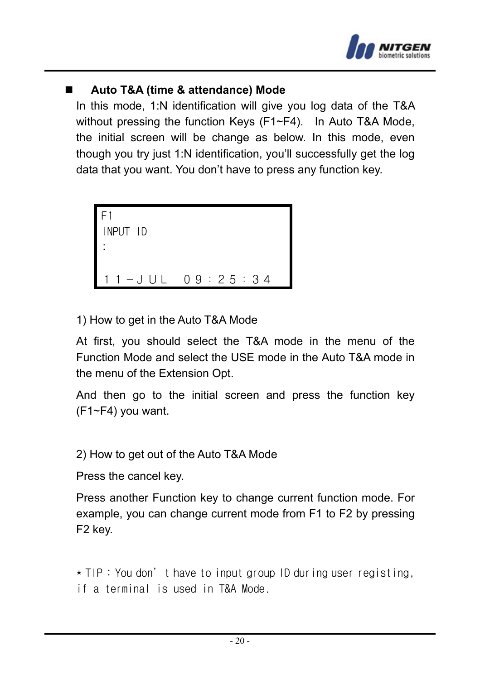

### **Auto T&A (time & attendance) Mode**

In this mode, 1:N identification will give you log data of the T&A without pressing the function Keys (F1~F4). In Auto T&A Mode, the initial screen will be change as below. In this mode, even though you try just 1:N identification, you'll successfully get the log data that you want. You don't have to press any function key.

```
F1 
INPUT ID 
: 
     11-JUL 09:25:34
```
1) How to get in the Auto T&A Mode

At first, you should select the T&A mode in the menu of the Function Mode and select the USE mode in the Auto T&A mode in the menu of the Extension Opt.

And then go to the initial screen and press the function key (F1~F4) you want.

2) How to get out of the Auto T&A Mode

Press the cancel key.

Press another Function key to change current function mode. For example, you can change current mode from F1 to F2 by pressing F2 key.

\* TIP : You don't have to input group ID during user registing, if a terminal is used in T&A Mode.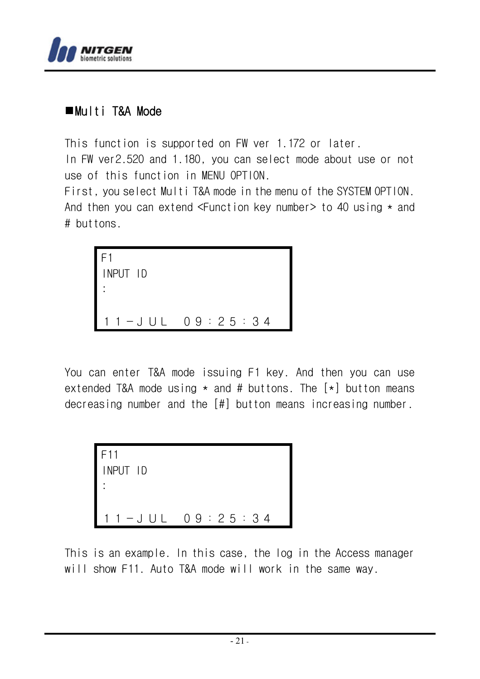

# Multi T&A Mode

This function is supported on FW ver 1.172 or later.

In FW ver2.520 and 1.180, you can select mode about use or not use of this function in MENU OPTION.

First, you select Multi T&A mode in the menu of the SYSTEM OPTION. And then you can extend  $\leq$  Eunction key number > to 40 using  $\star$  and # buttons.

```
F1 
INPUT ID 
: 
11-JUL 09:25:34
```
You can enter T&A mode issuing F1 key. And then you can use extended T&A mode using  $\star$  and # buttons. The  $[\star]$  button means decreasing number and the [#] button means increasing number.

```
F11 
INPUT ID 
: 
  1 - J UL 09:25:34
```
This is an example. In this case, the log in the Access manager will show F11. Auto T&A mode will work in the same way.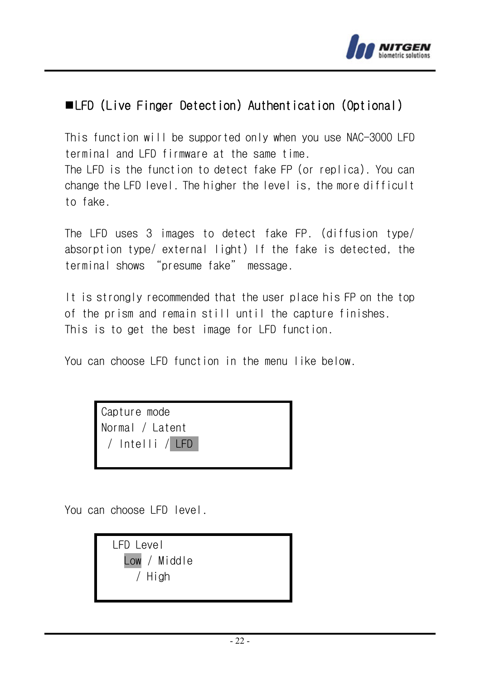

# LFD (Live Finger Detection) Authentication (Optional)

This function will be supported only when you use NAC-3000 LFD terminal and LFD firmware at the same time. The LFD is the function to detect fake FP (or replica). You can change the LFD level. The higher the level is, the more difficult to fake.

The LFD uses 3 images to detect fake FP. (diffusion type/ absorption type/ external light) If the fake is detected, the terminal shows "presume fake" message.

It is strongly recommended that the user place his FP on the top of the prism and remain still until the capture finishes. This is to get the best image for LFD function.

You can choose LFD function in the menu like below.

Capture mode Normal / Latent / Intelli / LFD

You can choose LFD level.

LFD Level Low / Middle / High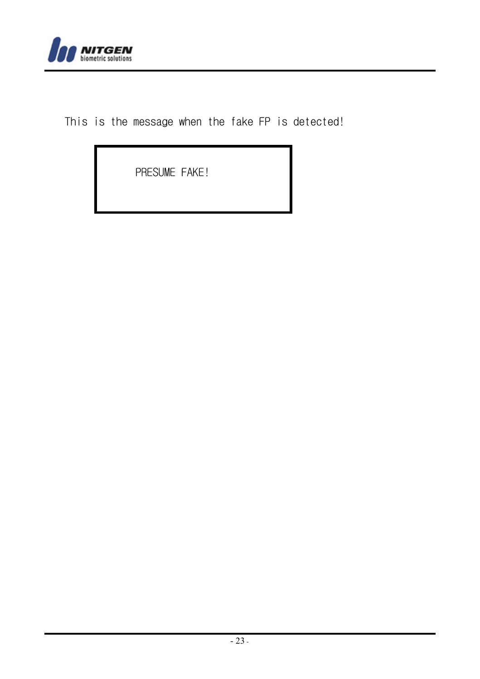

This is the message when the fake FP is detected!

PRESUME FAKE!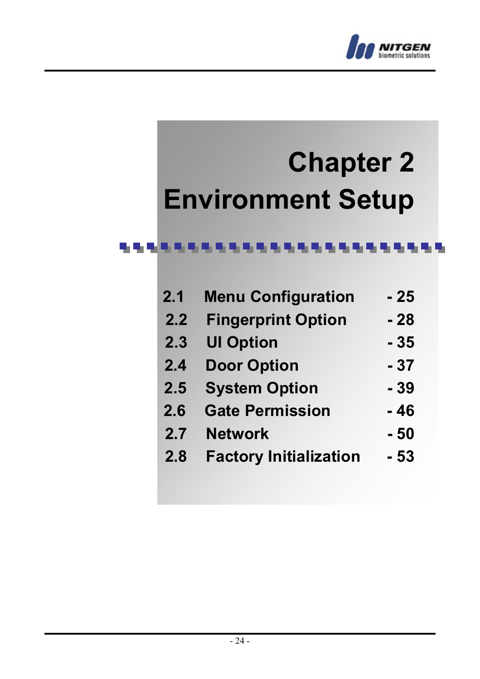

# **Chapter 2 Environment Setup**

#### 电电流电流电流电流电流电流电流电流电流电流电流电流

| 2.1 | <b>Menu Configuration</b>     | - 25  |
|-----|-------------------------------|-------|
| 2.2 | <b>Fingerprint Option</b>     | - 28  |
| 2.3 | <b>UI Option</b>              | - 35  |
| 2.4 | <b>Door Option</b>            | $-37$ |
| 2.5 | <b>System Option</b>          | $-39$ |
| 2.6 | <b>Gate Permission</b>        | - 46  |
| 2.7 | <b>Network</b>                | $-50$ |
| 2.8 | <b>Factory Initialization</b> | - 53  |
|     |                               |       |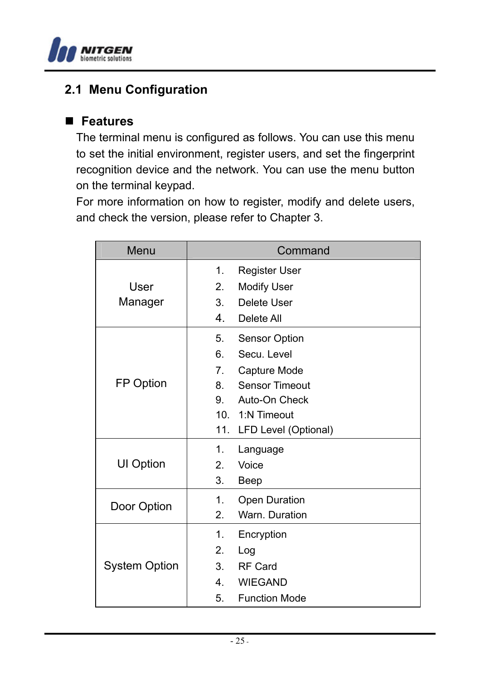

# **2.1 Menu Configuration**

#### **Features**

The terminal menu is configured as follows. You can use this menu to set the initial environment, register users, and set the fingerprint recognition device and the network. You can use the menu button on the terminal keypad.

For more information on how to register, modify and delete users, and check the version, please refer to Chapter 3.

| Menu                 | Command                    |  |  |
|----------------------|----------------------------|--|--|
|                      | 1.<br>Register User        |  |  |
| User                 | 2.<br><b>Modify User</b>   |  |  |
| Manager              | Delete User<br>3.          |  |  |
|                      | 4.<br>Delete All           |  |  |
|                      | 5.<br>Sensor Option        |  |  |
|                      | 6.<br>Secu. Level          |  |  |
|                      | 7.<br>Capture Mode         |  |  |
| FP Option            | <b>Sensor Timeout</b>      |  |  |
|                      | 9. Auto-On Check           |  |  |
|                      | 10. 1:N Timeout            |  |  |
|                      | 11. LFD Level (Optional)   |  |  |
|                      | 1.<br>Language             |  |  |
| UI Option            | 2.<br>Voice                |  |  |
|                      | 3.<br>Beep                 |  |  |
|                      | Open Duration<br>1.        |  |  |
| Door Option          | 2.<br>Warn, Duration       |  |  |
| <b>System Option</b> | 1.<br>Encryption           |  |  |
|                      | 2.<br>Log                  |  |  |
|                      | <b>RF Card</b><br>3.       |  |  |
|                      | 4. WIEGAND                 |  |  |
|                      | <b>Function Mode</b><br>5. |  |  |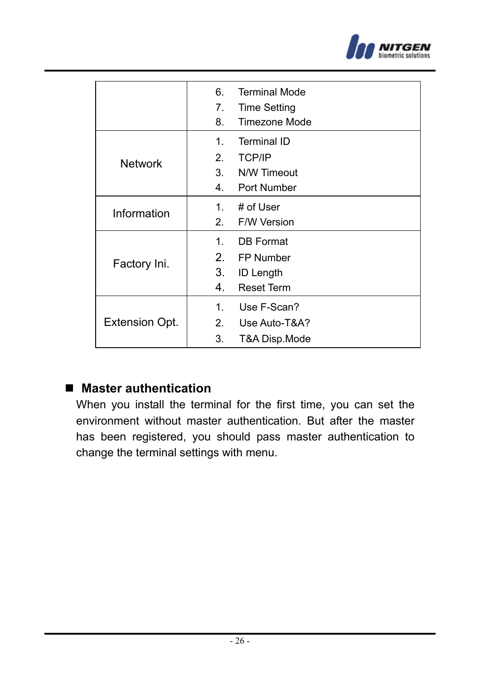

|                | 6.<br>7.<br>8.                   | <b>Terminal Mode</b><br>Time Setting<br>Timezone Mode      |
|----------------|----------------------------------|------------------------------------------------------------|
| <b>Network</b> | 1 <sup>1</sup><br>2.<br>3.<br>4. | Terminal ID<br><b>TCP/IP</b><br>N/W Timeout<br>Port Number |
| Information    | $1_{-}$<br>2.                    | # of User<br>F/W Version                                   |
| Factory Ini.   | 1 <sup>1</sup><br>2.<br>3.<br>4. | DB Format<br>FP Number<br>ID Length<br><b>Reset Term</b>   |
| Extension Opt. | $1_{-}$<br>2.<br>3.              | Use F-Scan?<br>Use Auto-T&A?<br>T&A Disp.Mode              |

# ■ Master authentication

When you install the terminal for the first time, you can set the environment without master authentication. But after the master has been registered, you should pass master authentication to change the terminal settings with menu.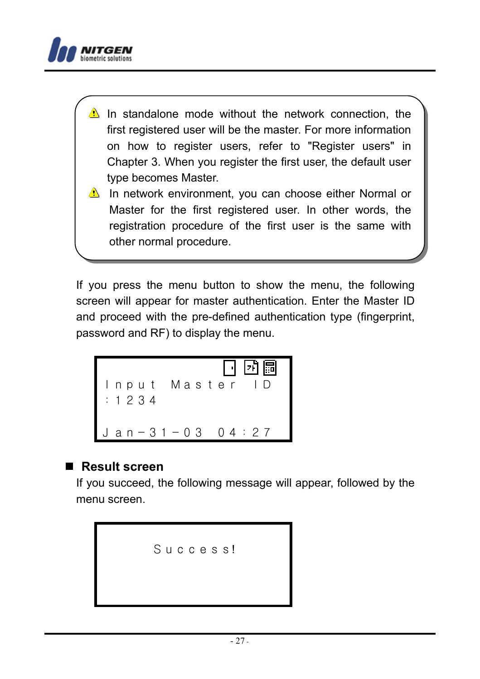

- In standalone mode without the network connection, the first registered user will be the master. For more information on how to register users, refer to "Register users" in Chapter 3. When you register the first user, the default user type becomes Master.
- In network environment, you can choose either Normal or Master for the first registered user. In other words, the registration procedure of the first user is the same with other normal procedure.

If you press the menu button to show the menu, the following screen will appear for master authentication. Enter the Master ID and proceed with the pre-defined authentication type (fingerprint, password and RF) to display the menu.

Input Master ID :1234 Jan-31-03 04:27

#### ■ Result screen

If you succeed, the following message will appear, followed by the menu screen.

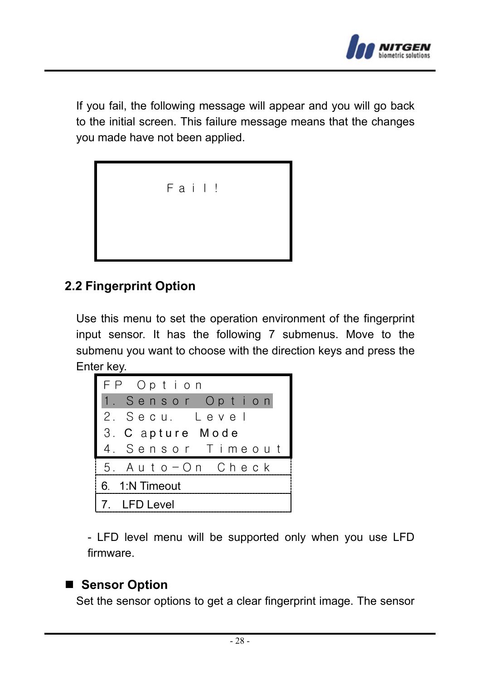

If you fail, the following message will appear and you will go back to the initial screen. This failure message means that the changes you made have not been applied.



# **2.2 Fingerprint Option**

Use this menu to set the operation environment of the fingerprint input sensor. It has the following 7 submenus. Move to the submenu you want to choose with the direction keys and press the Enter key.

| FP Option         |
|-------------------|
| 1. Sensor Option  |
| 2. Secu. Level    |
| 3. C apture Mode  |
| 4. Sensor Timeout |
| 5. Auto-On Check  |
| 6. 1:N Timeout    |
| 7. LFD Level      |

- LFD level menu will be supported only when you use LFD firmware.

# ■ Sensor Option

Set the sensor options to get a clear fingerprint image. The sensor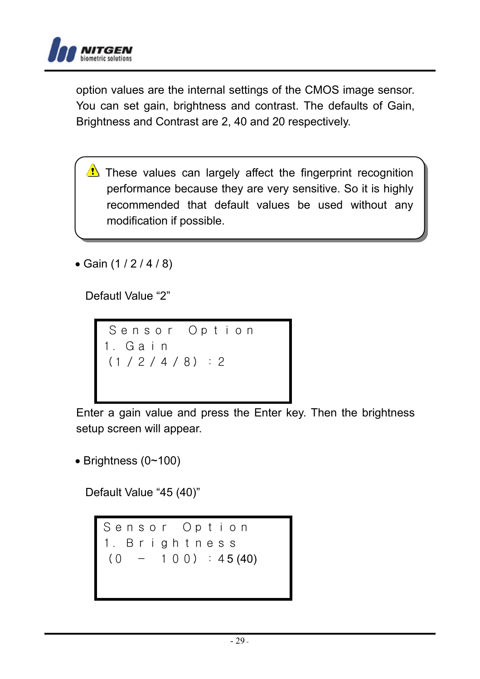

option values are the internal settings of the CMOS image sensor. You can set gain, brightness and contrast. The defaults of Gain, Brightness and Contrast are 2, 40 and 20 respectively.

- $\triangle$  These values can largely affect the fingerprint recognition performance because they are very sensitive. So it is highly recommended that default values be used without any modification if possible.
- Gain (1 / 2 / 4 / 8)

Defautl Value "2"

Sensor Option 1.Gain (1/2/4/8):2

Enter a gain value and press the Enter key. Then the brightness setup screen will appear.

• Brightness (0~100)

Default Value "45 (40)"

Sensor Option 1.Brightness  $(0 - 100)$ : 45 (40)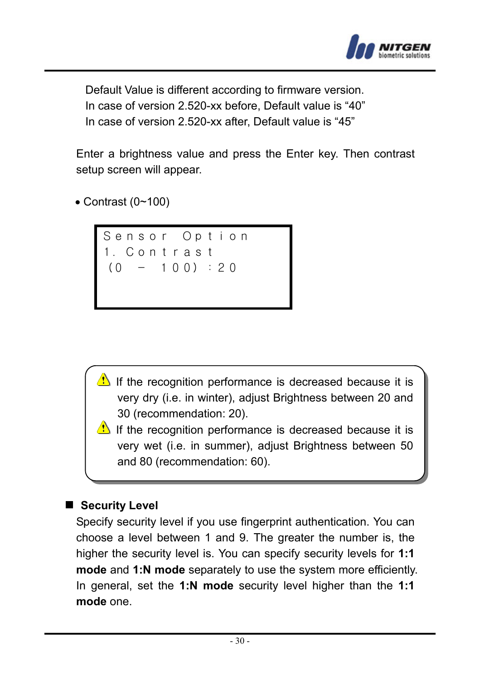

Default Value is different according to firmware version. In case of version 2.520-xx before, Default value is "40" In case of version 2.520-xx after, Default value is "45"

Enter a brightness value and press the Enter key. Then contrast setup screen will appear.

 $\bullet$  Contrast (0~100)



- If the recognition performance is decreased because it is very dry (i.e. in winter), adjust Brightness between 20 and 30 (recommendation: 20).
- If the recognition performance is decreased because it is very wet (i.e. in summer), adjust Brightness between 50 and 80 (recommendation: 60).

#### ■ Security Level

Specify security level if you use fingerprint authentication. You can choose a level between 1 and 9. The greater the number is, the higher the security level is. You can specify security levels for **1:1 mode** and **1:N mode** separately to use the system more efficiently. In general, set the **1:N mode** security level higher than the **1:1 mode** one.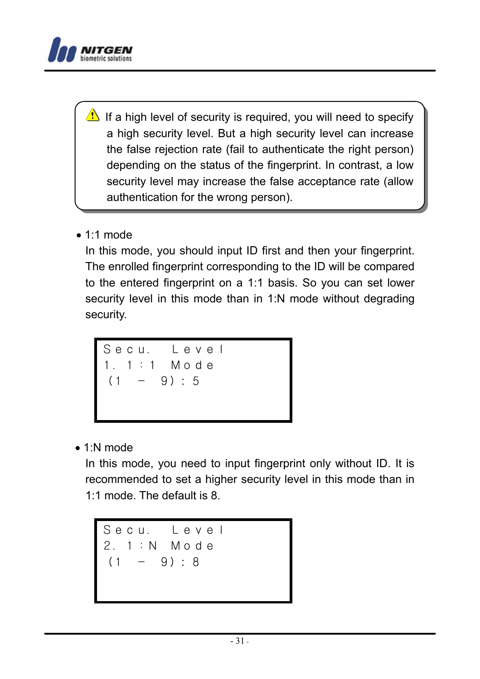

If a high level of security is required, you will need to specify a high security level. But a high security level can increase the false rejection rate (fail to authenticate the right person) depending on the status of the fingerprint. In contrast, a low security level may increase the false acceptance rate (allow authentication for the wrong person).

 $\bullet$  1:1 mode

In this mode, you should input ID first and then your fingerprint. The enrolled fingerprint corresponding to the ID will be compared to the entered fingerprint on a 1:1 basis. So you can set lower security level in this mode than in 1:N mode without degrading security.

Secu. Level  
1. 1 : 1 Mode  

$$
(1 - 9): 5
$$

• 1:N mode

In this mode, you need to input fingerprint only without ID. It is recommended to set a higher security level in this mode than in 1:1 mode. The default is 8.

Secu. Level 2.1:N Mode  $(1 - 9) : 8$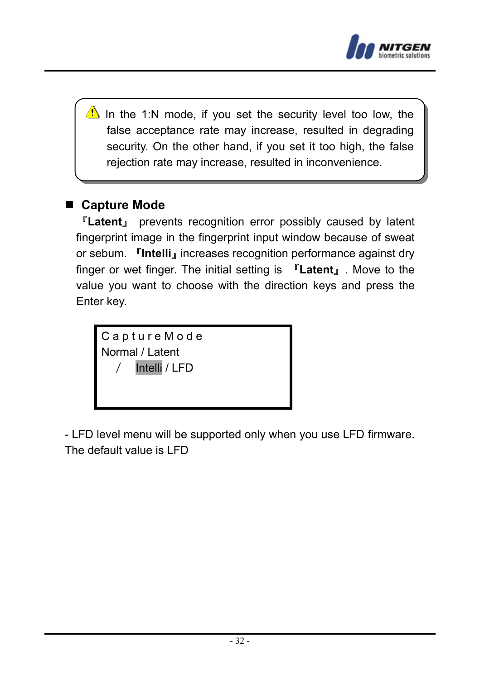

In the 1:N mode, if you set the security level too low, the false acceptance rate may increase, resulted in degrading security. On the other hand, if you set it too high, the false rejection rate may increase, resulted in inconvenience.

# **Capture Mode**

『**Latent**』 prevents recognition error possibly caused by latent fingerprint image in the fingerprint input window because of sweat or sebum. 『**Intelli**』increases recognition performance against dry finger or wet finger. The initial setting is 『**Latent**』. Move to the value you want to choose with the direction keys and press the Enter key.

C a p t u r e M o d e Normal / Latent Intelli / LFD

- LFD level menu will be supported only when you use LFD firmware. The default value is LFD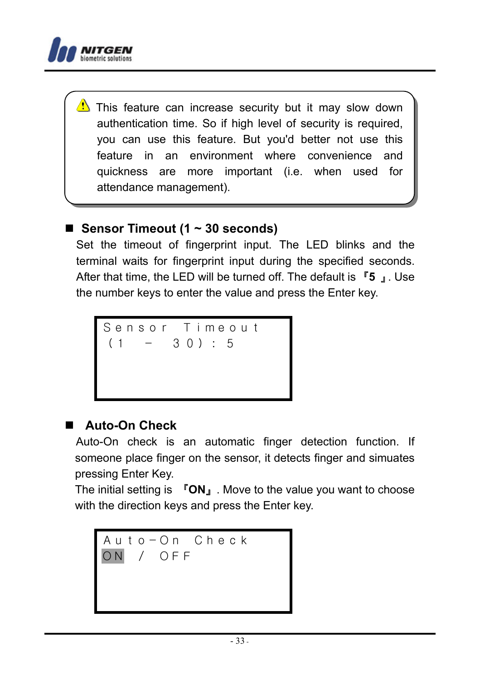

 $\langle \cdot \rangle$  This feature can increase security but it may slow down authentication time. So if high level of security is required, you can use this feature. But you'd better not use this feature in an environment where convenience and quickness are more important (i.e. when used for attendance management).

# ■ Sensor Timeout (1 ~ 30 seconds)

Set the timeout of fingerprint input. The LED blinks and the terminal waits for fingerprint input during the specified seconds. After that time, the LED will be turned off. The default is 『**5** 』. Use the number keys to enter the value and press the Enter key.



# **Auto-On Check**

Auto-On check is an automatic finger detection function. If someone place finger on the sensor, it detects finger and simuates pressing Enter Key.

The initial setting is 『**ON**』. Move to the value you want to choose with the direction keys and press the Enter key.

Auto-On Check ON / OFF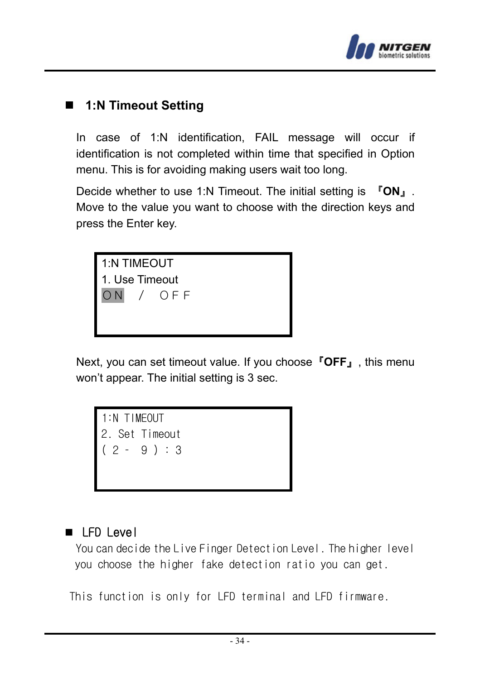

# **1:N Timeout Setting**

In case of 1:N identification, FAIL message will occur if identification is not completed within time that specified in Option menu. This is for avoiding making users wait too long.

Decide whether to use 1:N Timeout. The initial setting is 『**ON**』. Move to the value you want to choose with the direction keys and press the Enter key.



Next, you can set timeout value. If you choose『**OFF**』, this menu won't appear. The initial setting is 3 sec.





 You can decide the Live Finger Detection Level. The higher level you choose the higher fake detection ratio you can get.

This function is only for LFD terminal and LFD firmware.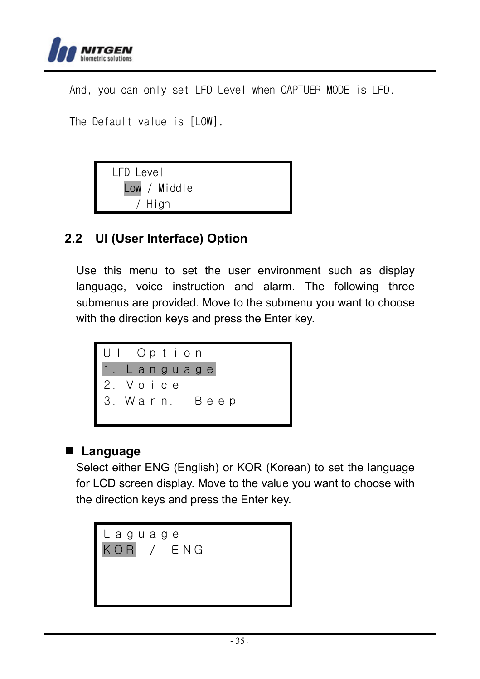

And, you can only set LFD Level when CAPTUER MODE is LFD.

The Default value is [LOW].



# **2.2 UI (User Interface) Option**

Use this menu to set the user environment such as display language, voice instruction and alarm. The following three submenus are provided. Move to the submenu you want to choose with the direction keys and press the Enter key.



# **Language**

Select either ENG (English) or KOR (Korean) to set the language for LCD screen display. Move to the value you want to choose with the direction keys and press the Enter key.

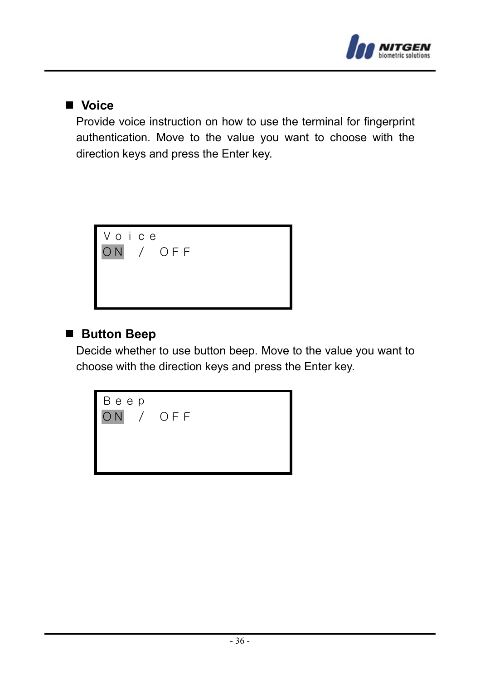

#### **Voice**

Provide voice instruction on how to use the terminal for fingerprint authentication. Move to the value you want to choose with the direction keys and press the Enter key.



#### ■ Button Beep

Decide whether to use button beep. Move to the value you want to choose with the direction keys and press the Enter key.

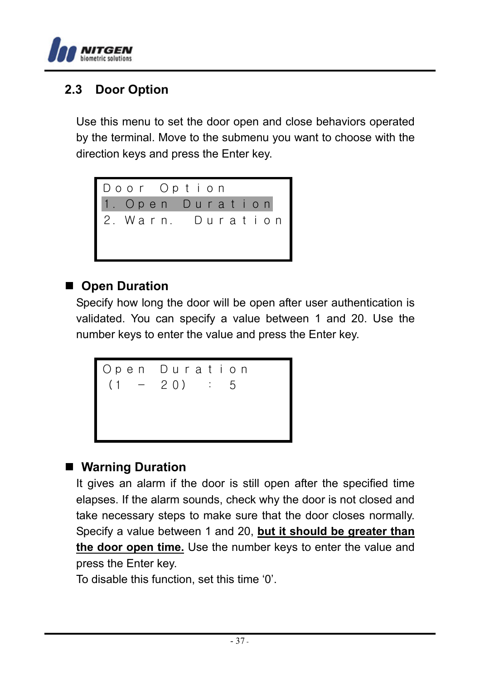

#### **2.3 Door Option**

Use this menu to set the door open and close behaviors operated by the terminal. Move to the submenu you want to choose with the direction keys and press the Enter key.



#### ■ Open Duration

Specify how long the door will be open after user authentication is validated. You can specify a value between 1 and 20. Use the number keys to enter the value and press the Enter key.

```
Open Duration
(1 - 20) : 5
```
#### **Warning Duration**

It gives an alarm if the door is still open after the specified time elapses. If the alarm sounds, check why the door is not closed and take necessary steps to make sure that the door closes normally. Specify a value between 1 and 20, **but it should be greater than the door open time.** Use the number keys to enter the value and press the Enter key.

To disable this function, set this time '0'.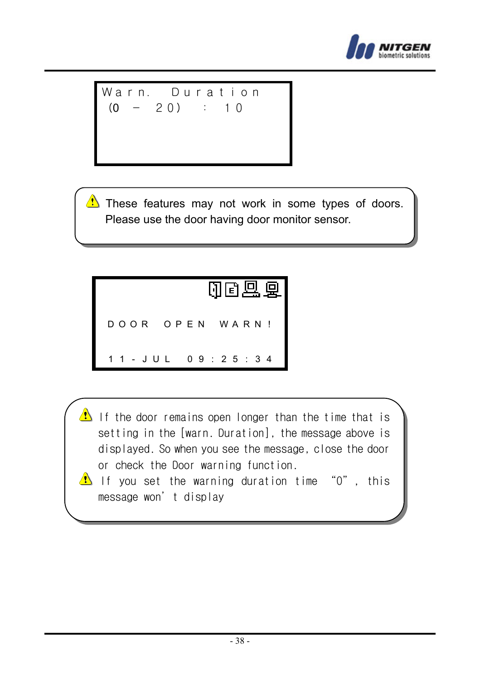

Warn. 
$$
Duration
$$
  
 $(0 - 20) : 10$ 

 $\triangle$  These features may not work in some types of doors. Please use the door having door monitor sensor.



- If the door remains open longer than the time that is setting in the [warn. Duration], the message above is displayed. So when you see the message, close the door or check the Door warning function.
- If you set the warning duration time "0", this message won't display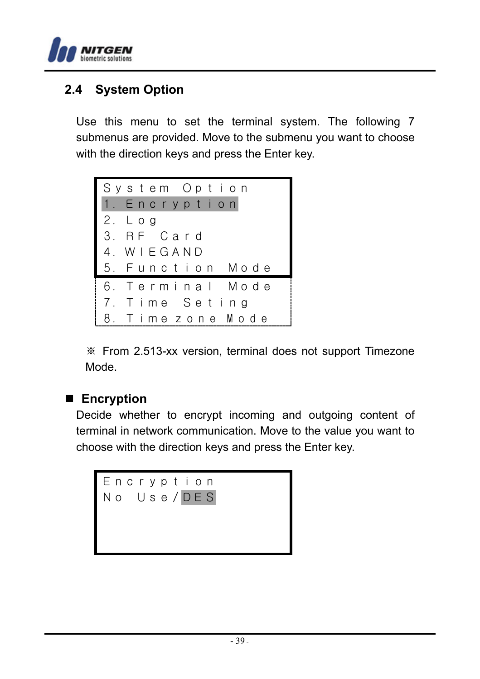

#### **2.4 System Option**

Use this menu to set the terminal system. The following 7 submenus are provided. Move to the submenu you want to choose with the direction keys and press the Enter key.



※ From 2.513-xx version, terminal does not support Timezone Mode.

#### **Encryption**

Decide whether to encrypt incoming and outgoing content of terminal in network communication. Move to the value you want to choose with the direction keys and press the Enter key.

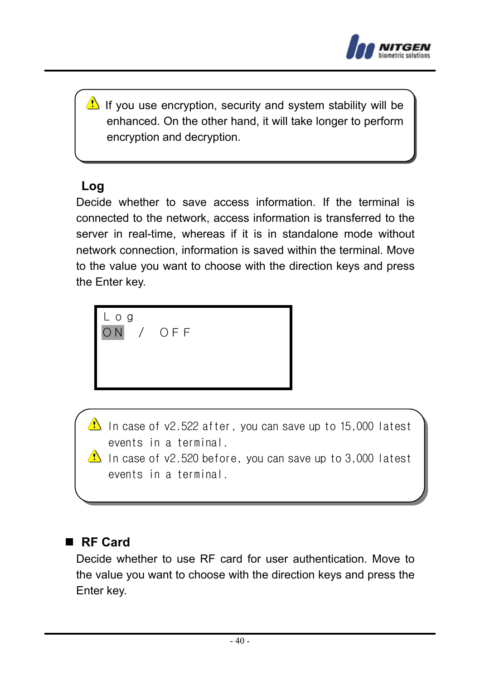

 $\mathbf{\Omega}$  If you use encryption, security and system stability will be enhanced. On the other hand, it will take longer to perform encryption and decryption.

#### **Log**

Decide whether to save access information. If the terminal is connected to the network, access information is transferred to the server in real-time, whereas if it is in standalone mode without network connection, information is saved within the terminal. Move to the value you want to choose with the direction keys and press the Enter key.



In case of v2.522 after, you can save up to 15,000 latest events in a terminal.

In case of  $v2.520$  before, you can save up to 3,000 latest events in a terminal.

#### **RF Card**

Decide whether to use RF card for user authentication. Move to the value you want to choose with the direction keys and press the Enter key.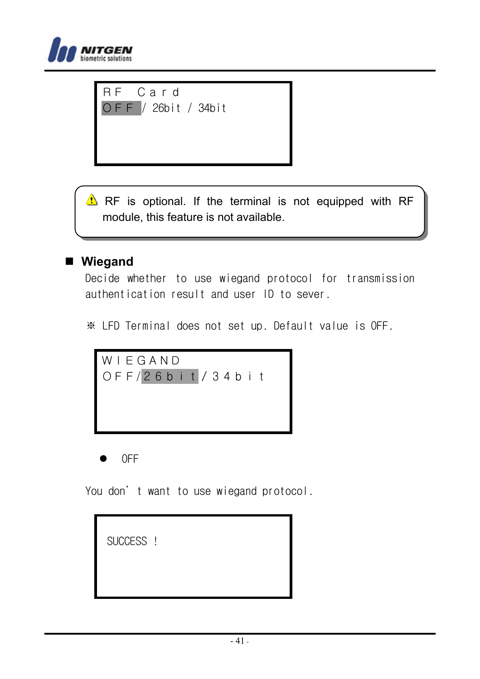

RF Card OFF / 26bit / 34bit

 $\triangle$  RF is optional. If the terminal is not equipped with RF module, this feature is not available.

#### **Wiegand**

Decide whether to use wiegand protocol for transmission authentication result and user ID to sever.

※ LFD Terminal does not set up. Default value is OFF.



z OFF

You don't want to use wiegand protocol.

SUCCESS !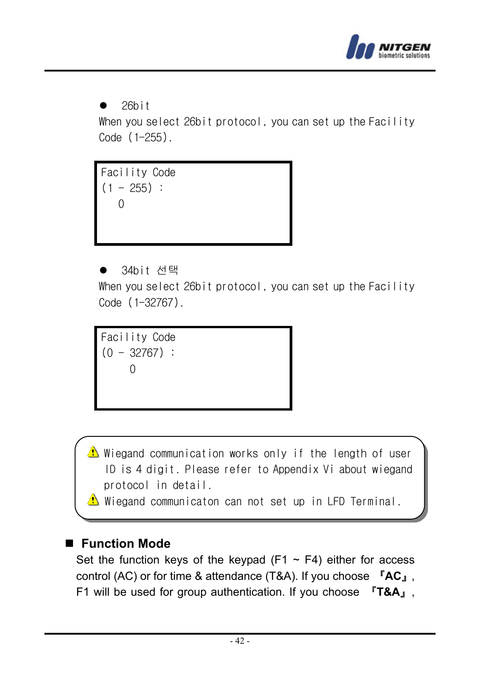

 $\bullet$  26hit

When you select 26bit protocol, you can set up the Facility Code (1-255).

Facility Code  $(1 - 255)$ :  $\Omega$ 

34bit 선택 When you select 26bit protocol, you can set up the Facility Code (1-32767).

Facility Code  $(0 - 32767)$  :  $\Omega$ 

 $\triangle$  Wiegand communication works only if the length of user ID is 4 digit. Please refer to Appendix Vi about wiegand protocol in detail.

 $\Delta$  Wiegand communicaton can not set up in LFD Terminal.

#### **Function Mode**

Set the function keys of the keypad (F1  $\sim$  F4) either for access control (AC) or for time & attendance (T&A). If you choose 『**AC**』, F1 will be used for group authentication. If you choose 『**T&A**』,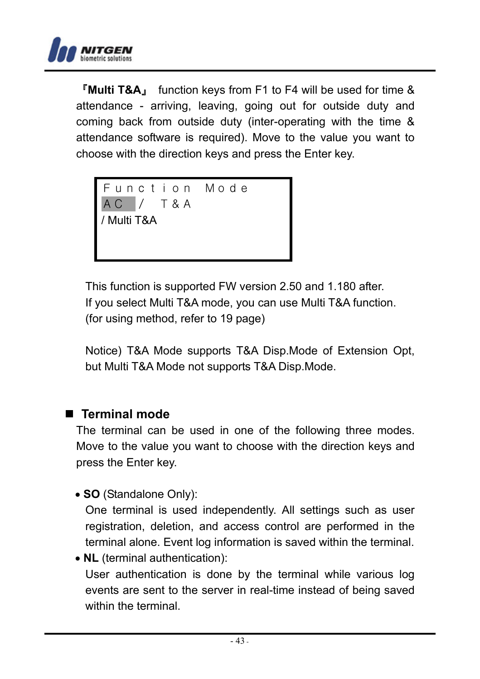

『**Multi T&A**』 function keys from F1 to F4 will be used for time & attendance - arriving, leaving, going out for outside duty and coming back from outside duty (inter-operating with the time & attendance software is required). Move to the value you want to choose with the direction keys and press the Enter key.

Function Mode AC / T&A / Multi T&A

This function is supported FW version 2.50 and 1.180 after. If you select Multi T&A mode, you can use Multi T&A function. (for using method, refer to 19 page)

Notice) T&A Mode supports T&A Disp.Mode of Extension Opt, but Multi T&A Mode not supports T&A Disp.Mode.

#### **Terminal mode**

The terminal can be used in one of the following three modes. Move to the value you want to choose with the direction keys and press the Enter key.

• **SO** (Standalone Only):

One terminal is used independently. All settings such as user registration, deletion, and access control are performed in the terminal alone. Event log information is saved within the terminal.

• **NL** (terminal authentication): User authentication is done by the terminal while various log events are sent to the server in real-time instead of being saved within the terminal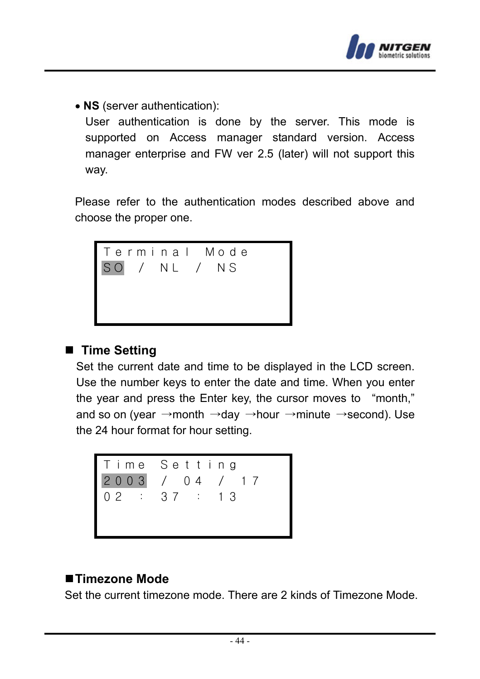

• **NS** (server authentication):

User authentication is done by the server. This mode is supported on Access manager standard version. Access manager enterprise and FW ver 2.5 (later) will not support this way.

Please refer to the authentication modes described above and choose the proper one.



#### ■ Time Setting

Set the current date and time to be displayed in the LCD screen. Use the number keys to enter the date and time. When you enter the year and press the Enter key, the cursor moves to "month," and so on (year →month →day →hour →minute →second). Use the 24 hour format for hour setting.



#### ■Timezone Mode

Set the current timezone mode. There are 2 kinds of Timezone Mode.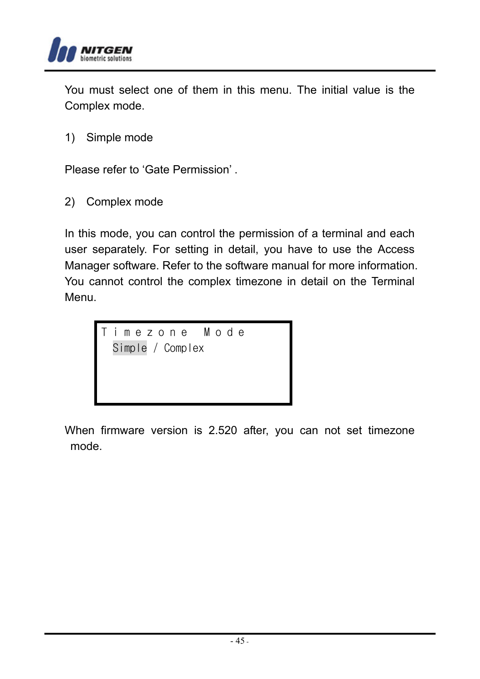

You must select one of them in this menu. The initial value is the Complex mode.

1) Simple mode

Please refer to 'Gate Permission' .

2) Complex mode

In this mode, you can control the permission of a terminal and each user separately. For setting in detail, you have to use the Access Manager software. Refer to the software manual for more information. You cannot control the complex timezone in detail on the Terminal Menu.



When firmware version is 2.520 after, you can not set timezone mode.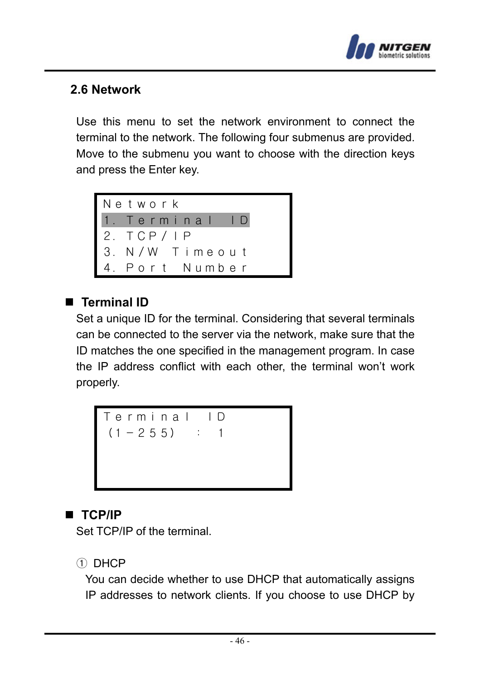

#### **2.6 Network**

Use this menu to set the network environment to connect the terminal to the network. The following four submenus are provided. Move to the submenu you want to choose with the direction keys and press the Enter key.



#### **Terminal ID**

Set a unique ID for the terminal. Considering that several terminals can be connected to the server via the network, make sure that the ID matches the one specified in the management program. In case the IP address conflict with each other, the terminal won't work properly.



## **TCP/IP**

Set TCP/IP of the terminal.

#### ① DHCP

You can decide whether to use DHCP that automatically assigns IP addresses to network clients. If you choose to use DHCP by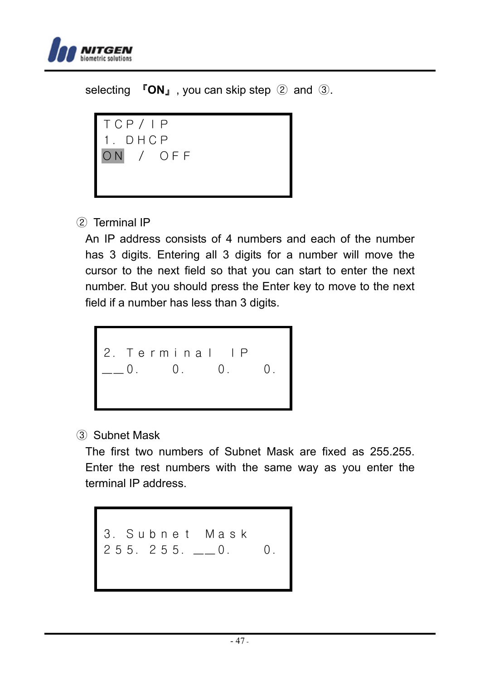

selecting 『**ON**』, you can skip step ② and ③.



#### ② Terminal IP

An IP address consists of 4 numbers and each of the number has 3 digits. Entering all 3 digits for a number will move the cursor to the next field so that you can start to enter the next number. But you should press the Enter key to move to the next field if a number has less than 3 digits.



#### ③ Subnet Mask

The first two numbers of Subnet Mask are fixed as 255.255. Enter the rest numbers with the same way as you enter the terminal IP address.

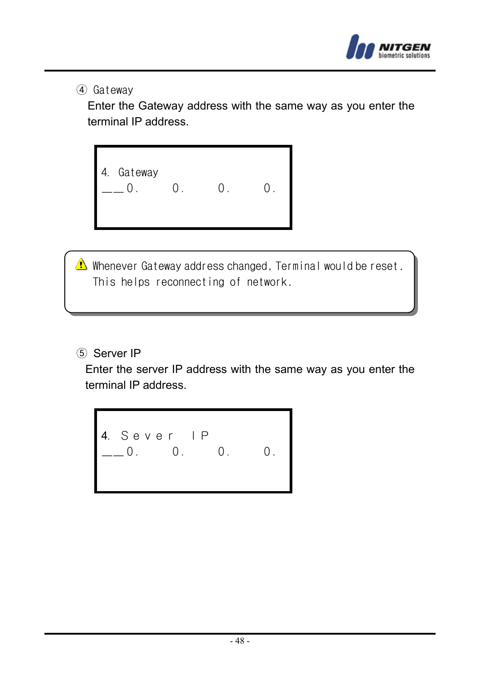

④ Gateway

Enter the Gateway address with the same way as you enter the terminal IP address.

4. Gateway  $\begin{array}{cccc} - & 0. & 0. & 0. & 0. \end{array}$ 

Whenever Gateway address changed, Terminal would be reset. This helps reconnecting of network.

⑤ Server IP

Enter the server IP address with the same way as you enter the terminal IP address.

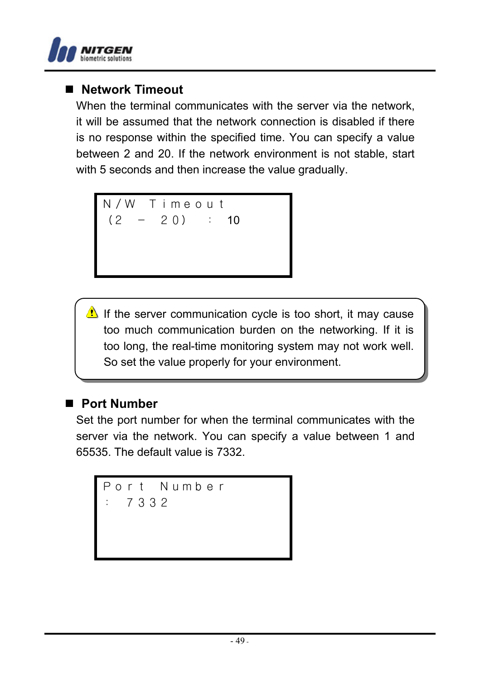

#### **Network Timeout**

When the terminal communicates with the server via the network, it will be assumed that the network connection is disabled if there is no response within the specified time. You can specify a value between 2 and 20. If the network environment is not stable, start with 5 seconds and then increase the value gradually.

N/W Timeout  $(2 - 20)$  : 10

If the server communication cycle is too short, it may cause too much communication burden on the networking. If it is too long, the real-time monitoring system may not work well. So set the value properly for your environment.

#### **Port Number**

Set the port number for when the terminal communicates with the server via the network. You can specify a value between 1 and 65535. The default value is 7332.

```
Port Number
  : 7332
```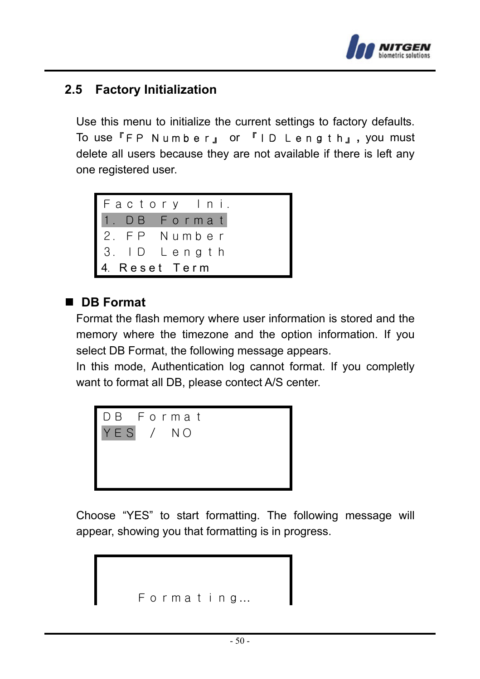

#### **2.5 Factory Initialization**

Use this menu to initialize the current settings to factory defaults. To use『FP Number』 or 『ID Length』**,** you must delete all users because they are not available if there is left any one registered user.



#### **DB Format**

Format the flash memory where user information is stored and the memory where the timezone and the option information. If you select DB Format, the following message appears.

In this mode, Authentication log cannot format. If you completly want to format all DB, please contect A/S center.



Choose "YES" to start formatting. The following message will appear, showing you that formatting is in progress.

```
Formating…
```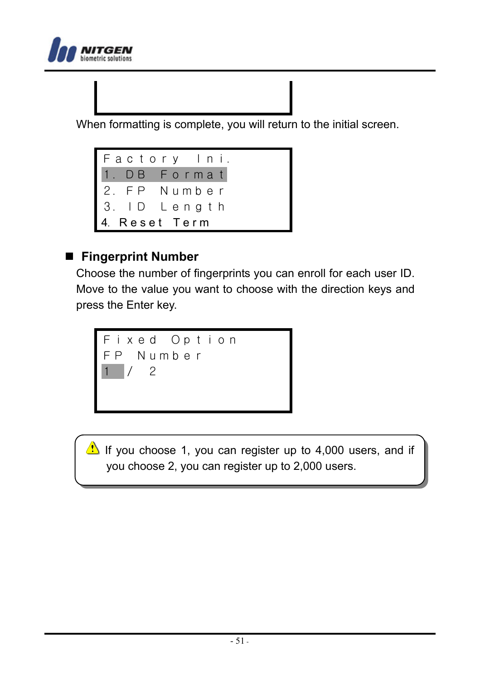

When formatting is complete, you will return to the initial screen.



#### **Fingerprint Number**

Choose the number of fingerprints you can enroll for each user ID. Move to the value you want to choose with the direction keys and press the Enter key.



If you choose 1, you can register up to 4,000 users, and if you choose 2, you can register up to 2,000 users.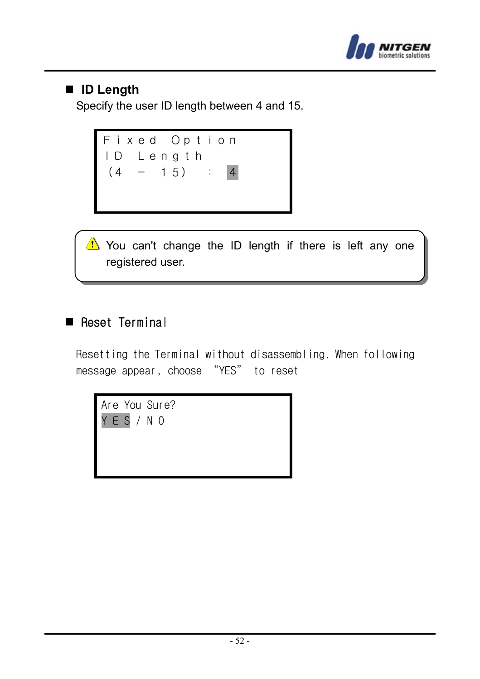

### **ID Length**

Specify the user ID length between 4 and 15.



You can't change the ID length if there is left any one registered user.

#### Reset Terminal

Resetting the Terminal without disassembling. When following message appear, choose "YES" to reset

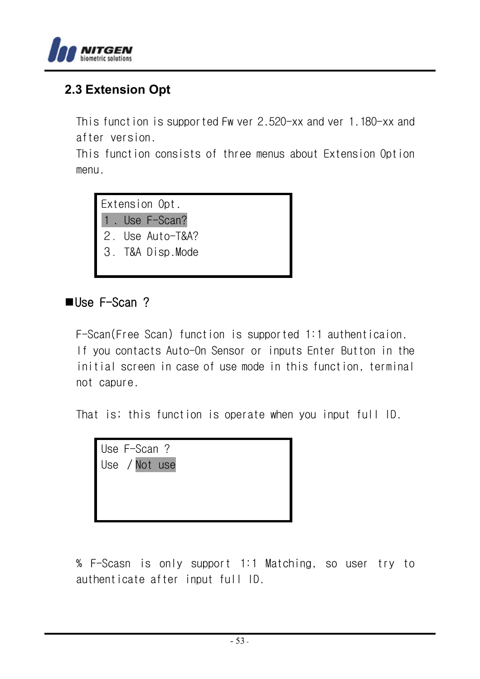

### **2.3 Extension Opt**

This function is supported Fw ver 2.520-xx and ver 1.180-xx and after version.

This function consists of three menus about Extension Option menu.

Extension Opt. 1. Use F-Scan? 2.Use Auto-T&A? 3.T&A Disp.Mode

#### **se F-Scan ?**

F-Scan(Free Scan) function is supported 1:1 authenticaion. If you contacts Auto-On Sensor or inputs Enter Button in the initial screen in case of use mode in this function, terminal not capure.

That is; this function is operate when you input full ID.

Use F-Scan ? Use /Not use

% F-Scasn is only support 1:1 Matching, so user try to authenticate after input full ID.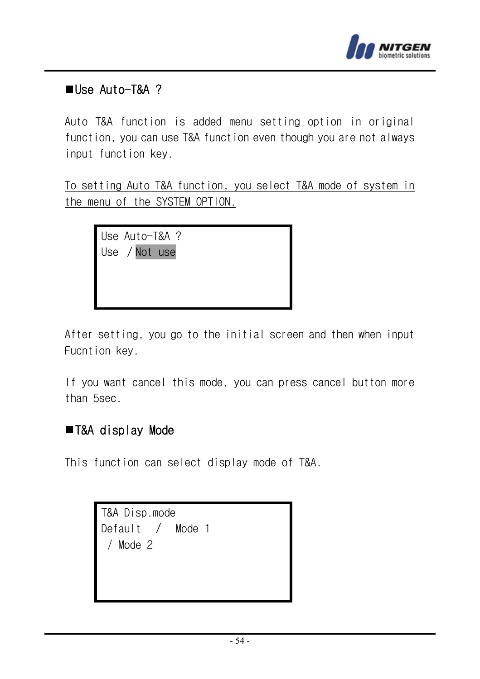

#### Use Auto-T&A ?

Auto T&A function is added menu setting option in original function, you can use T&A function even though you are not always input function key.

To setting Auto T&A function, you select T&A mode of system in the menu of the SYSTEM OPTION.

> Use Auto-T&A ? Use /Not use

After setting, you go to the initial screen and then when input Fucntion key.

If you want cancel this mode, you can press cancel button more than 5sec.

#### ■T&A display Mode

This function can select display mode of T&A.

T&A Disp.mode Default / Mode 1 / Mode 2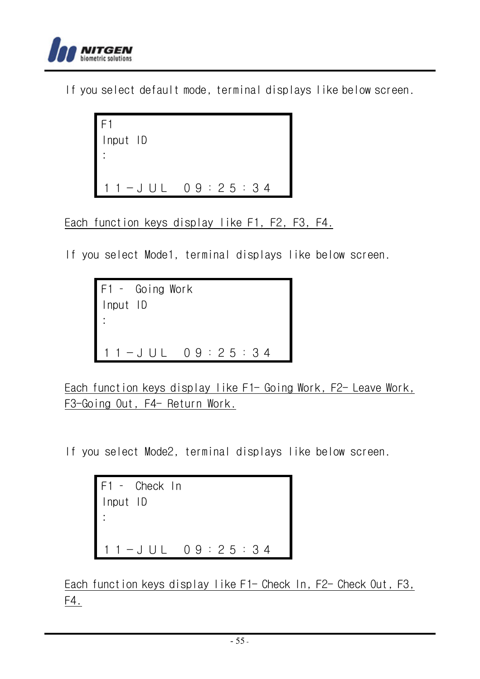

If you select default mode, terminal displays like below screen.

```
F1 
Input ID 
: 
11-JUL 09:25:34
```
Each function keys display like F1, F2, F3, F4.

If you select Mode1, terminal displays like below screen.

```
F1 – Going Work 
Input ID 
: 
11-JUL 09:25:34
```
Each function keys display like F1- Going Work, F2- Leave Work, F3-Going Out, F4- Return Work.

If you select Mode2, terminal displays like below screen.

```
F1 – Check In 
Input ID 
: 
 11-JUL 09:25:34
```
Each function keys display like F1- Check In, F2- Check Out, F3, F4.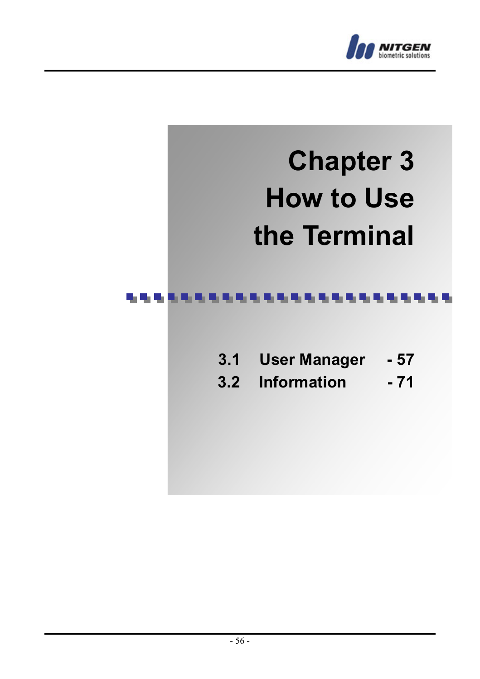

# **Chapter 3 How to Use the Terminal**

#### an an I . . . . . . . . .

- **3.1 User Manager 57**
- **3.2 Information 71**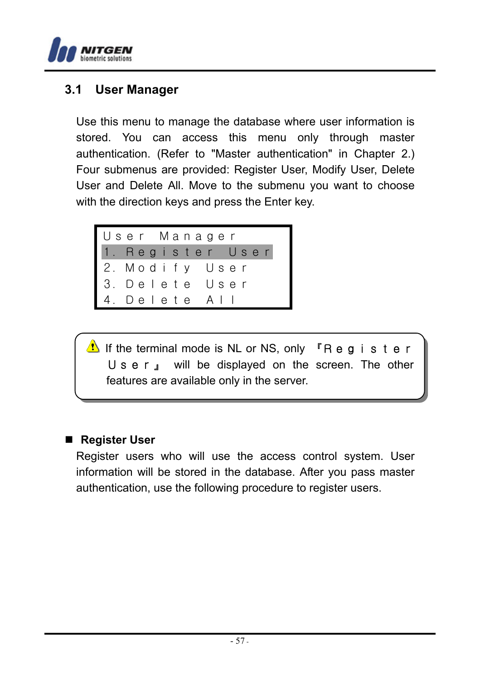

#### **3.1 User Manager**

Use this menu to manage the database where user information is stored. You can access this menu only through master authentication. (Refer to "Master authentication" in Chapter 2.) Four submenus are provided: Register User, Modify User, Delete User and Delete All. Move to the submenu you want to choose with the direction keys and press the Enter key.



If the terminal mode is NL or NS, only  $\Gamma$ Register User<sub>J</sub> will be displayed on the screen. The other features are available only in the server.

#### ■ Register User

Register users who will use the access control system. User information will be stored in the database. After you pass master authentication, use the following procedure to register users.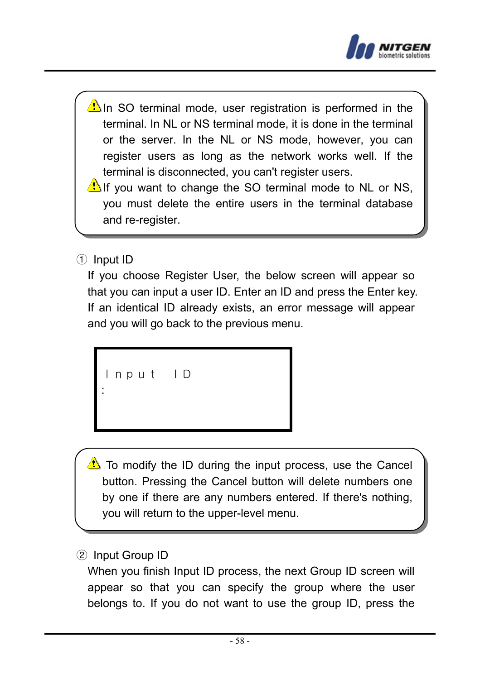

- In SO terminal mode, user registration is performed in the terminal. In NL or NS terminal mode, it is done in the terminal or the server. In the NL or NS mode, however, you can register users as long as the network works well. If the terminal is disconnected, you can't register users.
- If you want to change the SO terminal mode to NL or NS, you must delete the entire users in the terminal database and re-register.
- ① Input ID

If you choose Register User, the below screen will appear so that you can input a user ID. Enter an ID and press the Enter key. If an identical ID already exists, an error message will appear and you will go back to the previous menu.

```
Input ID
:
```
To modify the ID during the input process, use the Cancel button. Pressing the Cancel button will delete numbers one by one if there are any numbers entered. If there's nothing, you will return to the upper-level menu.

② Input Group ID

When you finish Input ID process, the next Group ID screen will appear so that you can specify the group where the user belongs to. If you do not want to use the group ID, press the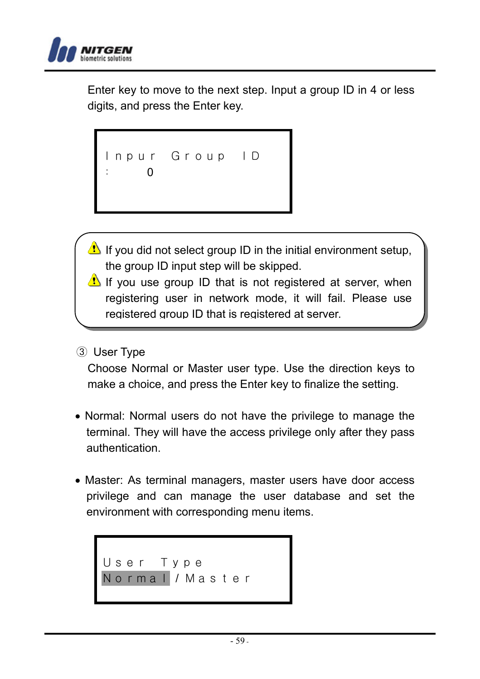

Enter key to move to the next step. Input a group ID in 4 or less digits, and press the Enter key.

Inpur Group ID : 0

- If you did not select group ID in the initial environment setup, the group ID input step will be skipped.
- If you use group ID that is not registered at server, when registering user in network mode, it will fail. Please use registered group ID that is registered at server.
- ③ User Type

Choose Normal or Master user type. Use the direction keys to make a choice, and press the Enter key to finalize the setting.

- Normal: Normal users do not have the privilege to manage the terminal. They will have the access privilege only after they pass authentication.
- Master: As terminal managers, master users have door access privilege and can manage the user database and set the environment with corresponding menu items.

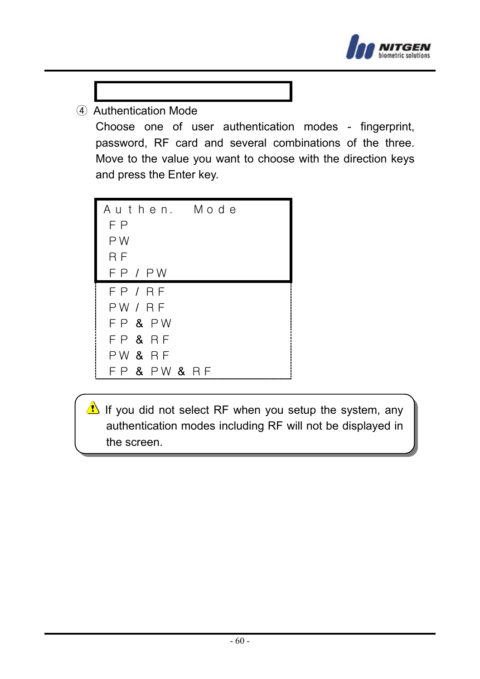

④ Authentication Mode

Choose one of user authentication modes - fingerprint, password, RF card and several combinations of the three. Move to the value you want to choose with the direction keys and press the Enter key.

Authen. Mode FP PW RF FP / PW FP / RF PW / RF FP & PW FP & RF PW & RF FP & PW & RF

If you did not select RF when you setup the system, any authentication modes including RF will not be displayed in the screen.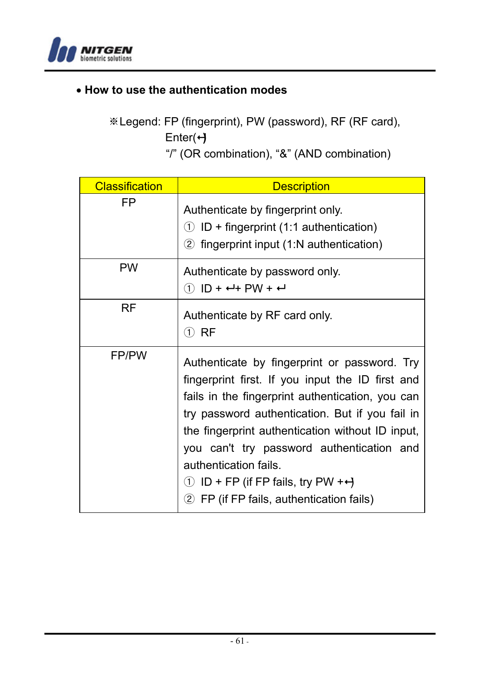

#### • **How to use the authentication modes**

※Legend: FP (fingerprint), PW (password), RF (RF card), Enter(+)

"/" (OR combination), "&" (AND combination)

| <b>Classification</b> | <b>Description</b>                                                                                                                                                                                                                                                                                                                                                                                                                              |
|-----------------------|-------------------------------------------------------------------------------------------------------------------------------------------------------------------------------------------------------------------------------------------------------------------------------------------------------------------------------------------------------------------------------------------------------------------------------------------------|
| FP                    | Authenticate by fingerprint only.<br>$\circlearrowleft$ ID + fingerprint (1:1 authentication)<br>2 fingerprint input (1:N authentication)                                                                                                                                                                                                                                                                                                       |
| <b>PW</b>             | Authenticate by password only.<br>$(1)$ ID + $-$ + PW + $-$                                                                                                                                                                                                                                                                                                                                                                                     |
| RF                    | Authenticate by RF card only.<br>① RF                                                                                                                                                                                                                                                                                                                                                                                                           |
| FP/PW                 | Authenticate by fingerprint or password. Try<br>fingerprint first. If you input the ID first and<br>fails in the fingerprint authentication, you can<br>try password authentication. But if you fail in<br>the fingerprint authentication without ID input,<br>you can't try password authentication and<br>authentication fails.<br>$\circled{1}$ ID + FP (if FP fails, try PW + $\leftrightarrow$<br>2 FP (if FP fails, authentication fails) |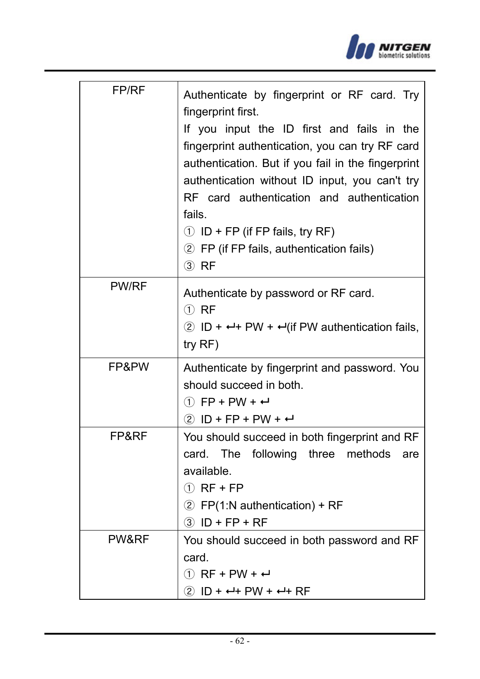

| FP/RF        | Authenticate by fingerprint or RF card. Try<br>fingerprint first.<br>If you input the ID first and fails in the<br>fingerprint authentication, you can try RF card<br>authentication. But if you fail in the fingerprint<br>authentication without ID input, you can't try<br>RF card authentication and authentication<br>fails.<br>$\circled{1}$ ID + FP (if FP fails, try RF)<br>2 FP (if FP fails, authentication fails)<br>$(3)$ RF |
|--------------|------------------------------------------------------------------------------------------------------------------------------------------------------------------------------------------------------------------------------------------------------------------------------------------------------------------------------------------------------------------------------------------------------------------------------------------|
| <b>PW/RF</b> | Authenticate by password or RF card.<br>$(1)$ RF<br>2 ID + $\leftrightarrow$ PW + $\leftrightarrow$ (if PW authentication fails,<br>$try$ RF)                                                                                                                                                                                                                                                                                            |
| FP&PW        | Authenticate by fingerprint and password. You<br>should succeed in both.<br>$(1)$ FP + PW + $\leftarrow$<br>$(2)$ ID + FP + PW + $\leftarrow$                                                                                                                                                                                                                                                                                            |
| FP&RF        | You should succeed in both fingerprint and RF<br>The<br>following<br>three methods<br>card.<br>are<br>available.<br>$(1)$ RF + FP<br>2 FP(1:N authentication) + RF<br>$\circled{3}$ ID + FP + RF                                                                                                                                                                                                                                         |
| PW&RF        | You should succeed in both password and RF<br>card.<br>$(1)$ RF + PW + $\leftarrow$<br>$(2)$ ID + $\leftarrow$ + PW + $\leftarrow$ + RF                                                                                                                                                                                                                                                                                                  |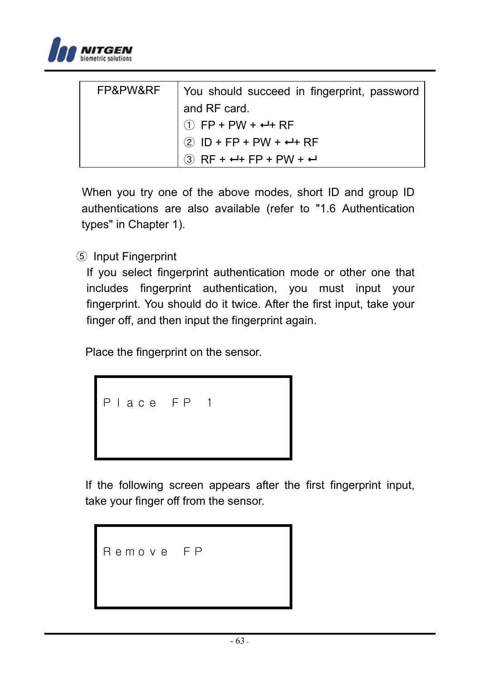

| FP&PW&RF | You should succeed in fingerprint, password  |
|----------|----------------------------------------------|
|          | and RF card.                                 |
|          | $\circled{1}$ FP + PW + $\leftrightarrow$ RF |
|          | $2$ ID + FP + PW + $\leftrightarrow$ RF      |
|          | $(3)$ RF + $-$ + FP + PW + $-$               |

 When you try one of the above modes, short ID and group ID authentications are also available (refer to "1.6 Authentication types" in Chapter 1).

⑤ Input Fingerprint

If you select fingerprint authentication mode or other one that includes fingerprint authentication, you must input your fingerprint. You should do it twice. After the first input, take your finger off, and then input the fingerprint again.

Place the fingerprint on the sensor.

Place FP 1

If the following screen appears after the first fingerprint input, take your finger off from the sensor.

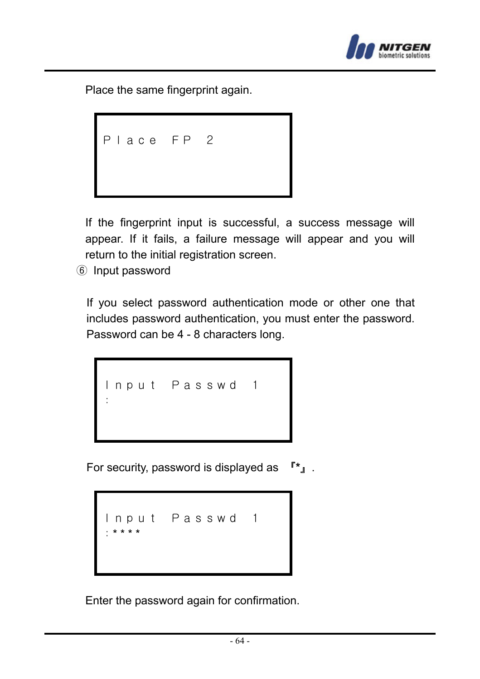

Place the same fingerprint again.

Place FP 2

If the fingerprint input is successful, a success message will appear. If it fails, a failure message will appear and you will return to the initial registration screen.

⑥ Input password

If you select password authentication mode or other one that includes password authentication, you must enter the password. Password can be 4 - 8 characters long.

```
Input Passwd 1
:
```
For security, password is displayed as 『**\***』.

Input Passwd 1 :\* \* \* \*

Enter the password again for confirmation.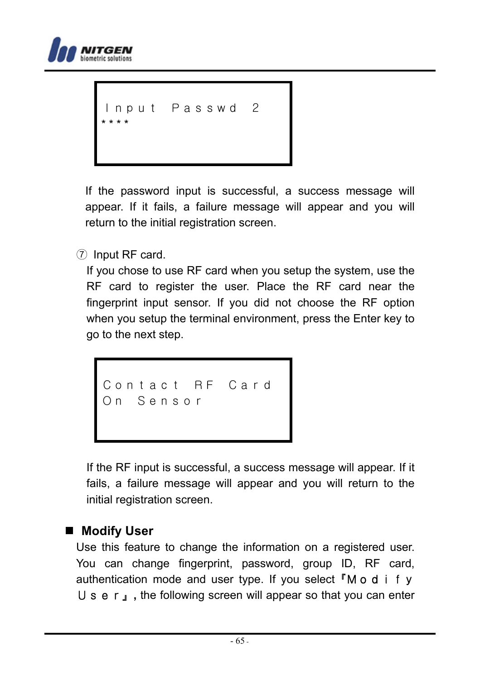

```
nput Passwd 2
* * * *
```
If the password input is successful, a success message will appear. If it fails, a failure message will appear and you will return to the initial registration screen.

⑦ Input RF card.

If you chose to use RF card when you setup the system, use the RF card to register the user. Place the RF card near the fingerprint input sensor. If you did not choose the RF option when you setup the terminal environment, press the Enter key to go to the next step.

```
Contact RF Card
On Sensor
```
If the RF input is successful, a success message will appear. If it fails, a failure message will appear and you will return to the initial registration screen.

 **Modify User** 

Use this feature to change the information on a registered user. You can change fingerprint, password, group ID, RF card, authentication mode and user type. If you select  $\Gamma M o d$  i fy User』**,** the following screen will appear so that you can enter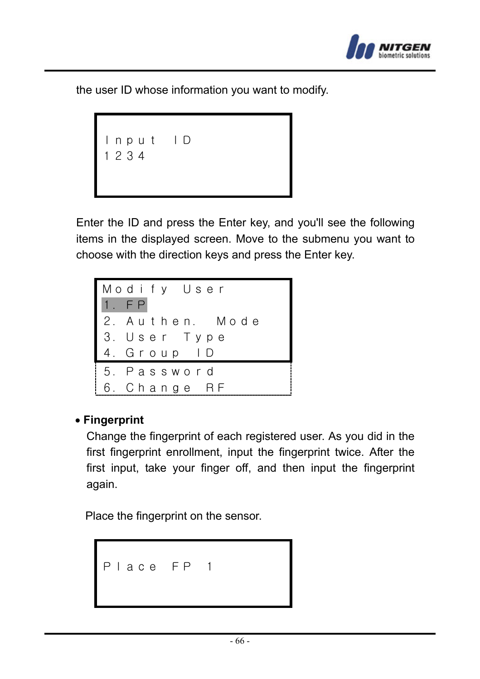

the user ID whose information you want to modify.

```
Input ID
1234
```
Enter the ID and press the Enter key, and you'll see the following items in the displayed screen. Move to the submenu you want to choose with the direction keys and press the Enter key.



#### • **Fingerprint**

Change the fingerprint of each registered user. As you did in the first fingerprint enrollment, input the fingerprint twice. After the first input, take your finger off, and then input the fingerprint again.

Place the fingerprint on the sensor.

Place FP 1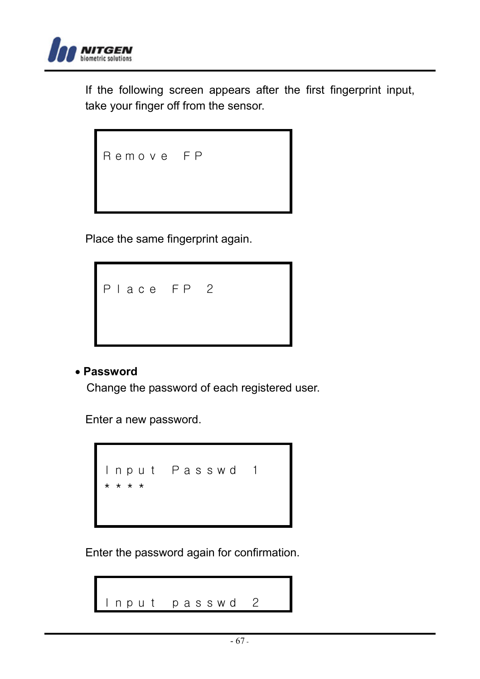

If the following screen appears after the first fingerprint input, take your finger off from the sensor.

| Remove FP |  |  |
|-----------|--|--|
|           |  |  |

Place the same fingerprint again.



#### • **Password**

Change the password of each registered user.

Enter a new password.



Enter the password again for confirmation.

```
Input passwd 2
```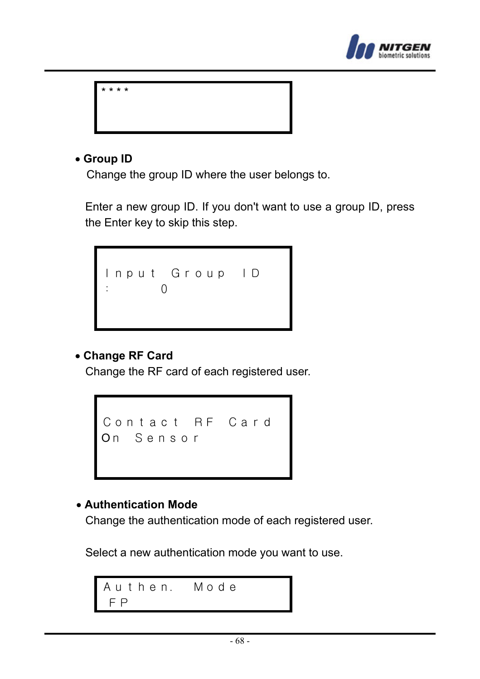



#### • **Group ID**

Change the group ID where the user belongs to.

Enter a new group ID. If you don't want to use a group ID, press the Enter key to skip this step.

Input Group ID  $\overline{0}$ 

#### • **Change RF Card**

Change the RF card of each registered user.

```
Contact RF Card
On Sensor
```
#### • **Authentication Mode**

Change the authentication mode of each registered user.

Select a new authentication mode you want to use.

Authen. Mode FP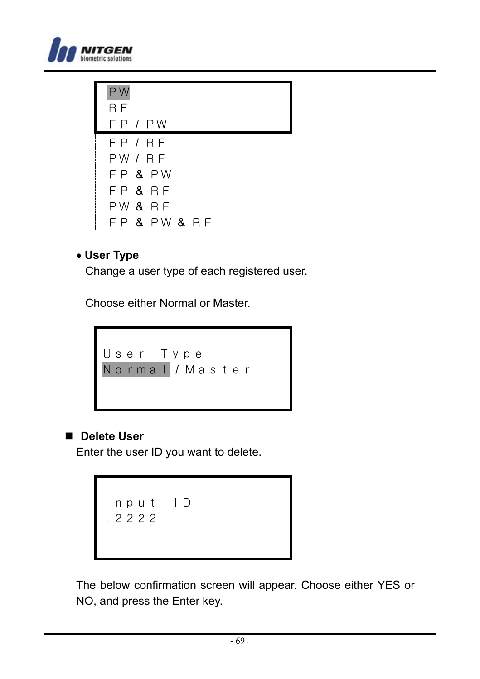



#### • **User Type**

Change a user type of each registered user.

Choose either Normal or Master.



#### ■ Delete User

Enter the user ID you want to delete.

Input ID :2222

The below confirmation screen will appear. Choose either YES or NO, and press the Enter key.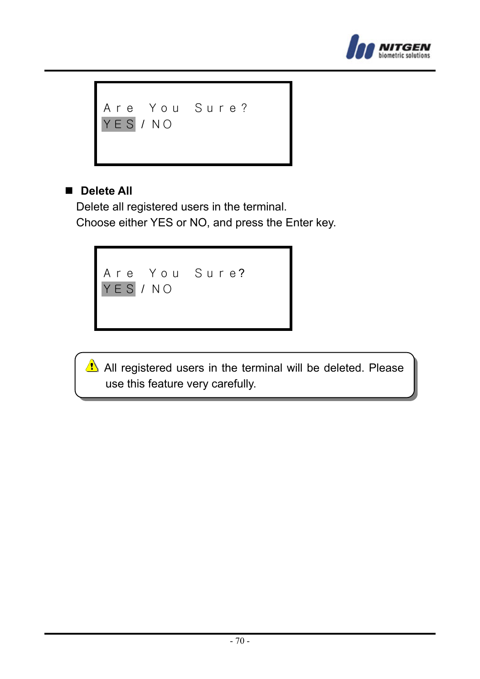

```
Are You Sure?
YES / NO
```
#### **Delete All**

Delete all registered users in the terminal. Choose either YES or NO, and press the Enter key.



All registered users in the terminal will be deleted. Please use this feature very carefully.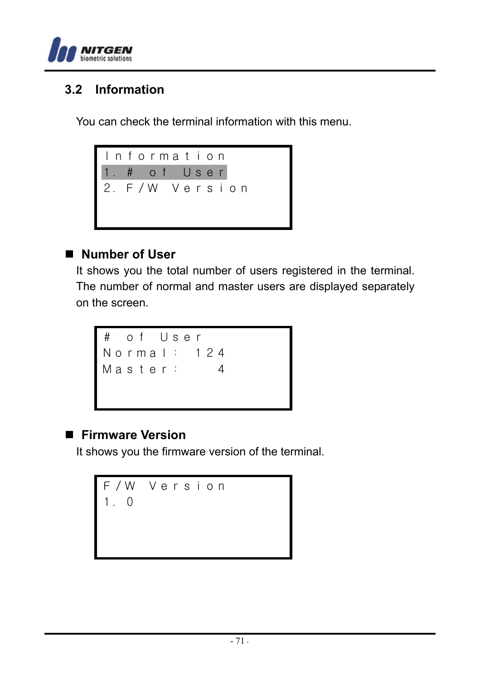

### **3.2 Information**

You can check the terminal information with this menu.



#### **Number of User**

It shows you the total number of users registered in the terminal. The number of normal and master users are displayed separately on the screen.



#### **Firmware Version**

It shows you the firmware version of the terminal.

F/W Version 1.0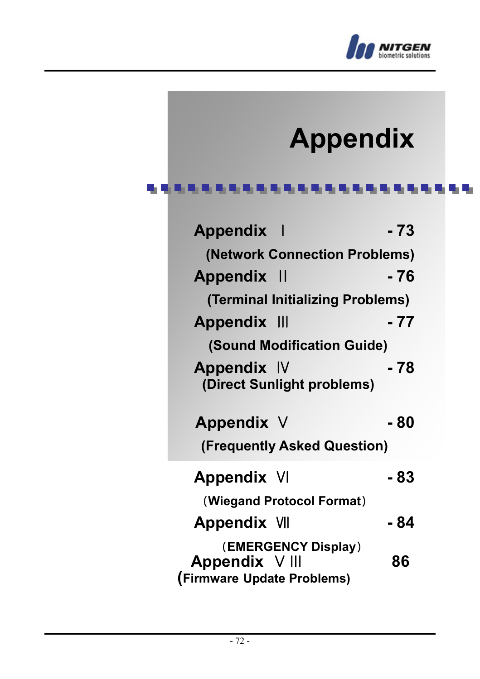

## **Appendix**

#### \*\*\*\*\*\*\*\*\*\*\*\*\*\*\*\*\*\*\*\*\*\*\*\*\*

| Appendix                                                            | - 73 |
|---------------------------------------------------------------------|------|
| (Network Connection Problems)                                       |      |
| <b>Appendix II</b>                                                  | - 76 |
| (Terminal Initializing Problems)                                    |      |
| <b>Appendix III</b>                                                 | - 77 |
| (Sound Modification Guide)                                          |      |
| Appendix IV<br>(Direct Sunlight problems)                           | - 78 |
| Appendix V                                                          | - 80 |
| (Frequently Asked Question)                                         |      |
| <b>Appendix VI</b>                                                  | - 83 |
| (Wiegand Protocol Format)                                           |      |
| <b>Appendix VII</b>                                                 | - 84 |
| (EMERGENCY Display)<br>Appendix V III<br>(Firmware Update Problems) | 86   |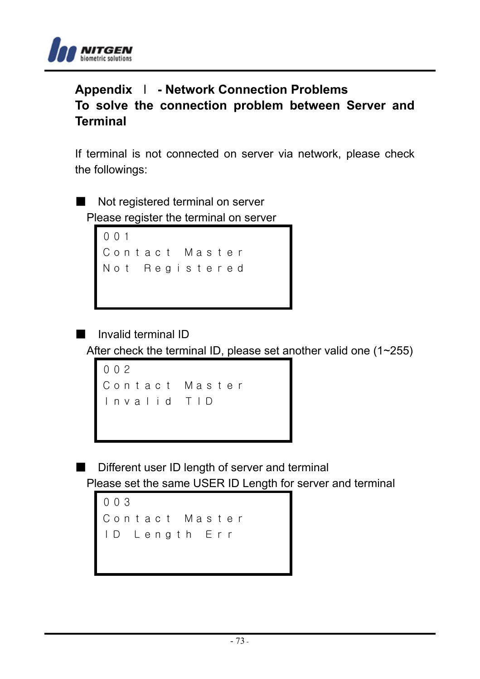

# **Appendix** Ⅰ **- Network Connection Problems To solve the connection problem between Server and Terminal**

If terminal is not connected on server via network, please check the followings:

Not registered terminal on server Please register the terminal on server

```
001
Contact Master
Not Registered
```
■ Invalid terminal ID

After check the terminal ID, please set another valid one (1~255)

```
002
Contact Master
Invalid TID
```
■ Different user ID length of server and terminal Please set the same USER ID Length for server and terminal

```
003
Contact Master
ID Length Err
```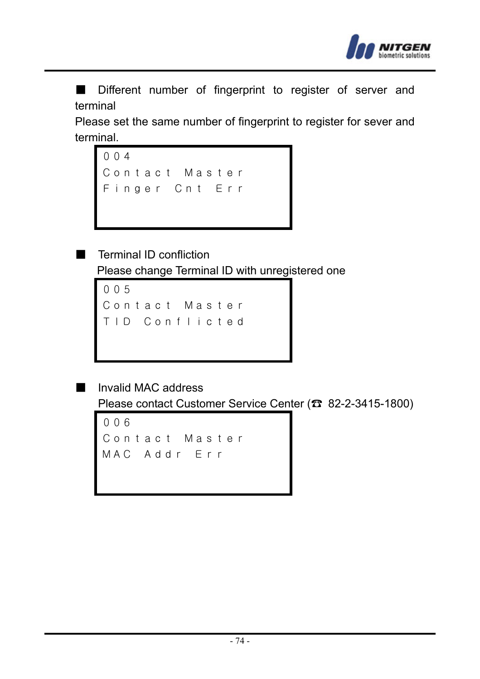

■ Different number of fingerprint to register of server and terminal

Please set the same number of fingerprint to register for sever and terminal.



■ Terminal ID confliction Please change Terminal ID with unregistered one

```
005
Contact Master
TID Conflicted
```
■ Invalid MAC address

Please contact Customer Service Center (☎ 82-2-3415-1800)

```
006
Contact Master
MAC Addr Err
```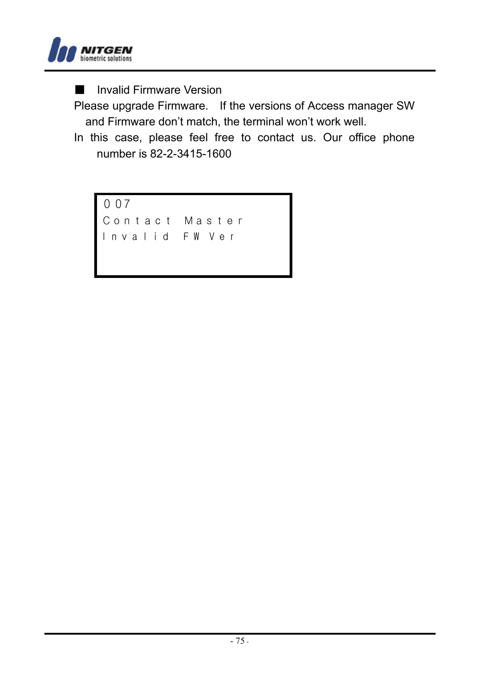

■ Invalid Firmware Version

Please upgrade Firmware. If the versions of Access manager SW and Firmware don't match, the terminal won't work well.

In this case, please feel free to contact us. Our office phone number is 82-2-3415-1600

007 Contact Master I n v a l i d F W V e r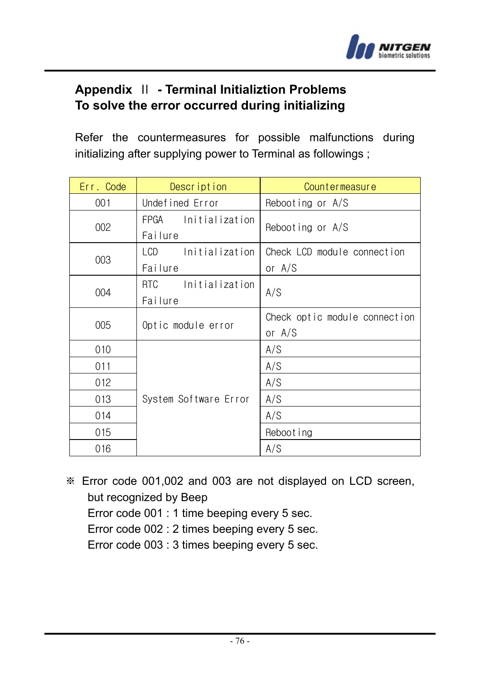

# **Appendix** Ⅱ **- Terminal Initializtion Problems To solve the error occurred during initializing**

Refer the countermeasures for possible malfunctions during initializing after supplying power to Terminal as followings ;

| Err. Code | Description                             | Countermeasure                            |
|-----------|-----------------------------------------|-------------------------------------------|
| 001       | Undefined Error                         | Rebooting or A/S                          |
| 002       | FPGA Initialization<br>Failure          | Rebooting or A/S                          |
| 003       | LCD.<br>Initialization<br>Failure       | Check LCD module connection<br>or $A/S$   |
| 004       | <b>RTC</b><br>Initialization<br>Failure | A/S                                       |
| 005       | Optic module error                      | Check optic module connection<br>or $A/S$ |
| 010       |                                         | A/S                                       |
| 011       |                                         | A/S                                       |
| 012       |                                         | A/S                                       |
| 013       | System Software Error                   | A/S                                       |
| 014       |                                         | A/S                                       |
| 015       |                                         | Reboot ing                                |
| 016       |                                         | A/S                                       |

※ Error code 001,002 and 003 are not displayed on LCD screen, but recognized by Beep Error code 001 : 1 time beeping every 5 sec. Error code 002 : 2 times beeping every 5 sec. Error code 003 : 3 times beeping every 5 sec.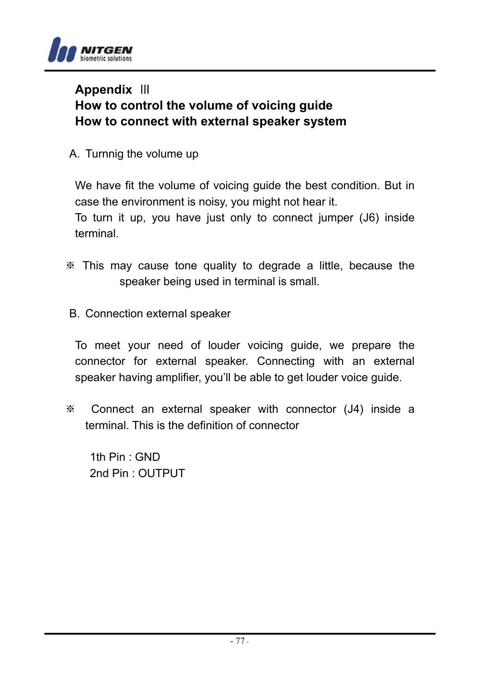

# **Appendix** Ⅲ **How to control the volume of voicing guide How to connect with external speaker system**

A. Turnnig the volume up

We have fit the volume of voicing guide the best condition. But in case the environment is noisy, you might not hear it.

To turn it up, you have just only to connect jumper (J6) inside terminal.

- ※ This may cause tone quality to degrade a little, because the speaker being used in terminal is small.
- B. Connection external speaker

To meet your need of louder voicing guide, we prepare the connector for external speaker. Connecting with an external speaker having amplifier, you'll be able to get louder voice guide.

※ Connect an external speaker with connector (J4) inside a terminal. This is the definition of connector

1th Pin : GND 2nd Pin : OUTPUT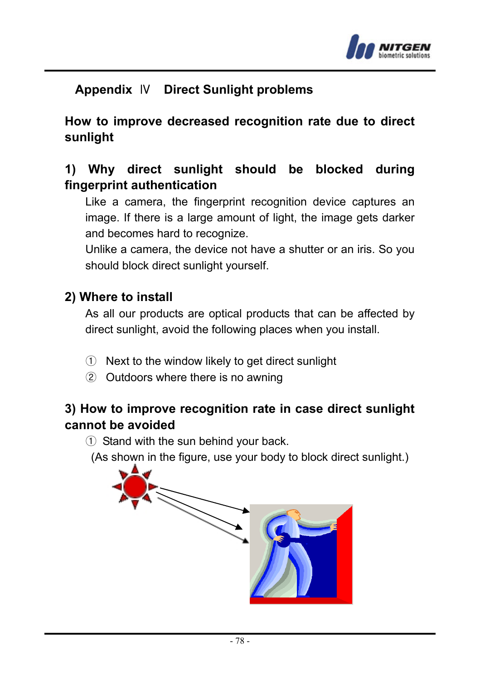

# **Appendix** Ⅳ **Direct Sunlight problems**

# **How to improve decreased recognition rate due to direct sunlight**

# **1) Why direct sunlight should be blocked during fingerprint authentication**

Like a camera, the fingerprint recognition device captures an image. If there is a large amount of light, the image gets darker and becomes hard to recognize.

Unlike a camera, the device not have a shutter or an iris. So you should block direct sunlight yourself.

#### **2) Where to install**

As all our products are optical products that can be affected by direct sunlight, avoid the following places when you install.

- ① Next to the window likely to get direct sunlight
- ② Outdoors where there is no awning

# **3) How to improve recognition rate in case direct sunlight cannot be avoided**

① Stand with the sun behind your back.

(As shown in the figure, use your body to block direct sunlight.)

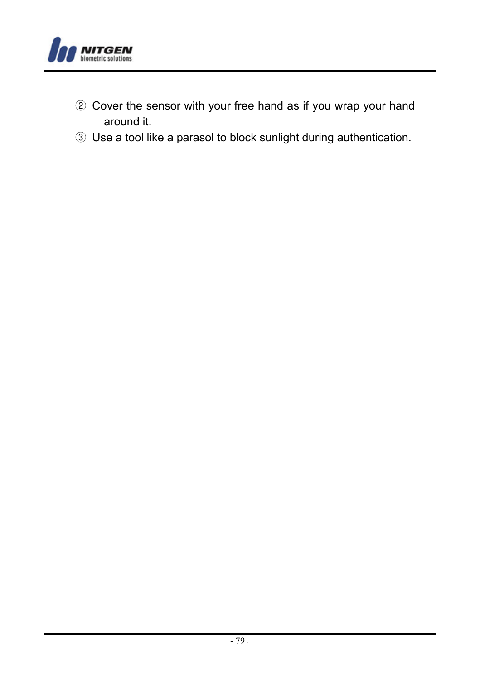

- ② Cover the sensor with your free hand as if you wrap your hand around it.
- ③ Use a tool like a parasol to block sunlight during authentication.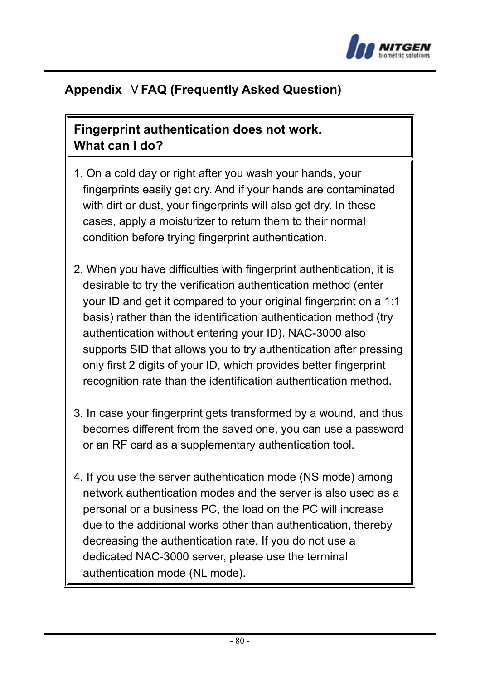

# **Appendix** Ⅴ**FAQ (Frequently Asked Question)**

# **Fingerprint authentication does not work. What can I do?**

- 1. On a cold day or right after you wash your hands, your fingerprints easily get dry. And if your hands are contaminated with dirt or dust, your fingerprints will also get dry. In these cases, apply a moisturizer to return them to their normal condition before trying fingerprint authentication.
- 2. When you have difficulties with fingerprint authentication, it is desirable to try the verification authentication method (enter your ID and get it compared to your original fingerprint on a 1:1 basis) rather than the identification authentication method (try authentication without entering your ID). NAC-3000 also supports SID that allows you to try authentication after pressing only first 2 digits of your ID, which provides better fingerprint recognition rate than the identification authentication method.
- 3. In case your fingerprint gets transformed by a wound, and thus becomes different from the saved one, you can use a password or an RF card as a supplementary authentication tool.
- 4. If you use the server authentication mode (NS mode) among network authentication modes and the server is also used as a personal or a business PC, the load on the PC will increase due to the additional works other than authentication, thereby decreasing the authentication rate. If you do not use a dedicated NAC-3000 server, please use the terminal authentication mode (NL mode).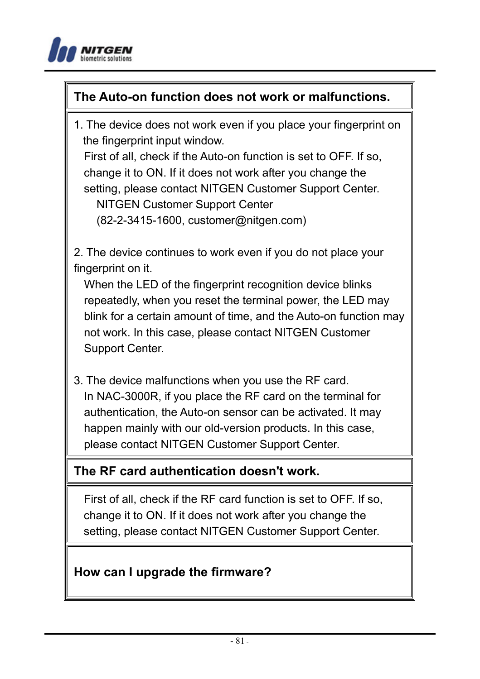

# **The Auto-on function does not work or malfunctions.**

1. The device does not work even if you place your fingerprint on the fingerprint input window.

First of all, check if the Auto-on function is set to OFF. If so, change it to ON. If it does not work after you change the setting, please contact NITGEN Customer Support Center. NITGEN Customer Support Center (82-2-3415-1600, customer@nitgen.com)

2. The device continues to work even if you do not place your fingerprint on it.

When the LED of the fingerprint recognition device blinks repeatedly, when you reset the terminal power, the LED may blink for a certain amount of time, and the Auto-on function may not work. In this case, please contact NITGEN Customer Support Center.

3. The device malfunctions when you use the RF card. In NAC-3000R, if you place the RF card on the terminal for authentication, the Auto-on sensor can be activated. It may happen mainly with our old-version products. In this case, please contact NITGEN Customer Support Center.

#### **The RF card authentication doesn't work.**

First of all, check if the RF card function is set to OFF. If so, change it to ON. If it does not work after you change the setting, please contact NITGEN Customer Support Center.

#### **How can I upgrade the firmware?**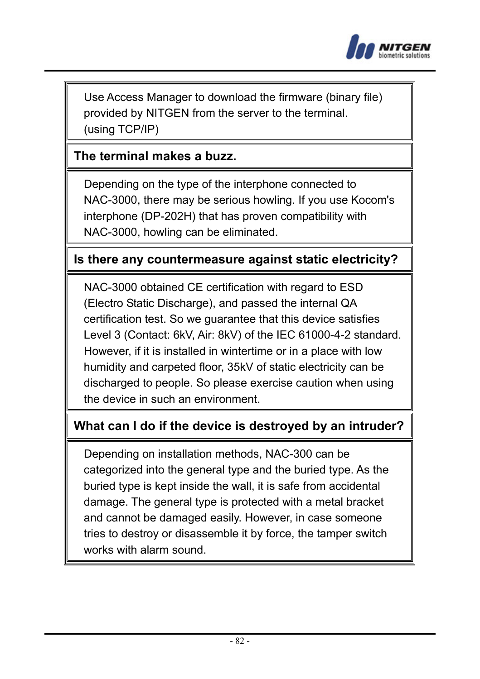

Use Access Manager to download the firmware (binary file) provided by NITGEN from the server to the terminal. (using TCP/IP)

#### **The terminal makes a buzz.**

Depending on the type of the interphone connected to NAC-3000, there may be serious howling. If you use Kocom's interphone (DP-202H) that has proven compatibility with NAC-3000, howling can be eliminated.

#### **Is there any countermeasure against static electricity?**

NAC-3000 obtained CE certification with regard to ESD (Electro Static Discharge), and passed the internal QA certification test. So we guarantee that this device satisfies Level 3 (Contact: 6kV, Air: 8kV) of the IEC 61000-4-2 standard. However, if it is installed in wintertime or in a place with low humidity and carpeted floor, 35kV of static electricity can be discharged to people. So please exercise caution when using the device in such an environment.

## **What can I do if the device is destroyed by an intruder?**

Depending on installation methods, NAC-300 can be categorized into the general type and the buried type. As the buried type is kept inside the wall, it is safe from accidental damage. The general type is protected with a metal bracket and cannot be damaged easily. However, in case someone tries to destroy or disassemble it by force, the tamper switch works with alarm sound.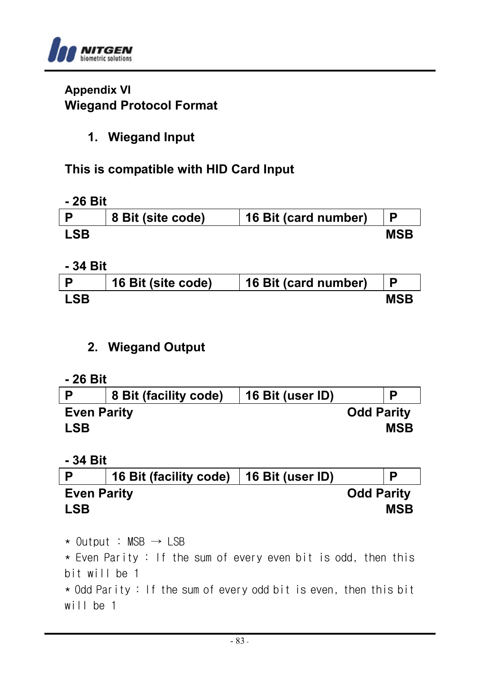

#### **Appendix VI Wiegand Protocol Format**

## **1. Wiegand Input**

# **This is compatible with HID Card Input**

#### **- 26 Bit**

|     | 8 Bit (site code) | 16 Bit (card number) |     |
|-----|-------------------|----------------------|-----|
| .SR |                   |                      | MSB |

#### **- 34 Bit**

|            | 16 Bit (site code) | 16 Bit (card number) |            |
|------------|--------------------|----------------------|------------|
| <b>LSB</b> |                    |                      | <b>MSB</b> |

# **2. Wiegand Output**

#### **- 26 Bit**

|                    | 8 Bit (facility code) | 16 Bit (user ID) |                   |
|--------------------|-----------------------|------------------|-------------------|
| <b>Even Parity</b> |                       |                  | <b>Odd Parity</b> |
| <b>LSB</b>         |                       |                  | <b>MSB</b>        |

#### **- 34 Bit**

|                    | 16 Bit (facility code)   16 Bit (user ID) | Р                 |
|--------------------|-------------------------------------------|-------------------|
| <b>Even Parity</b> |                                           | <b>Odd Parity</b> |
| <b>LSB</b>         |                                           | <b>MSB</b>        |

 $\star$  Output : MSB  $\rightarrow$  LSB \* Even Parity : If the sum of every even bit is odd, then this bit will be 1 \* Odd Parity : If the sum of every odd bit is even, then this bit

will be 1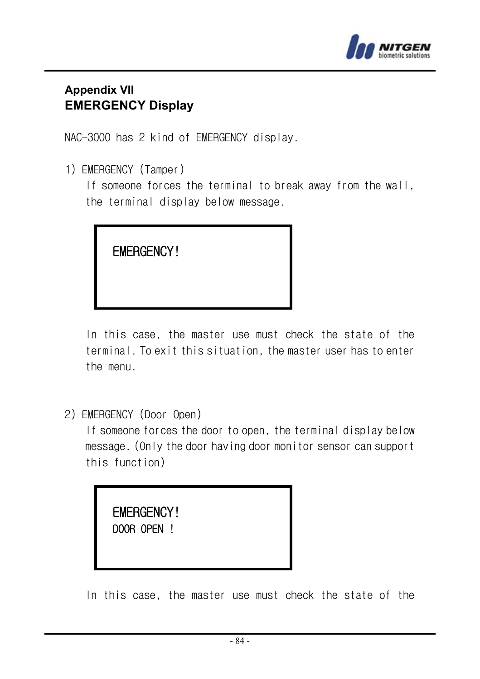

#### **Appendix VII EMERGENCY Display**

NAC-3000 has 2 kind of EMERGENCY display.

1) EMERGENCY (Tamper)

If someone forces the terminal to break away from the wall. the terminal display below message.



In this case, the master use must check the state of the terminal. To exit this situation, the master user has to enter the menu.

2) EMERGENCY (Door Open)

If someone forces the door to open, the terminal display below message. (Only the door having door monitor sensor can support this function)

 EMERGENCY! DOOR OPEN !

In this case, the master use must check the state of the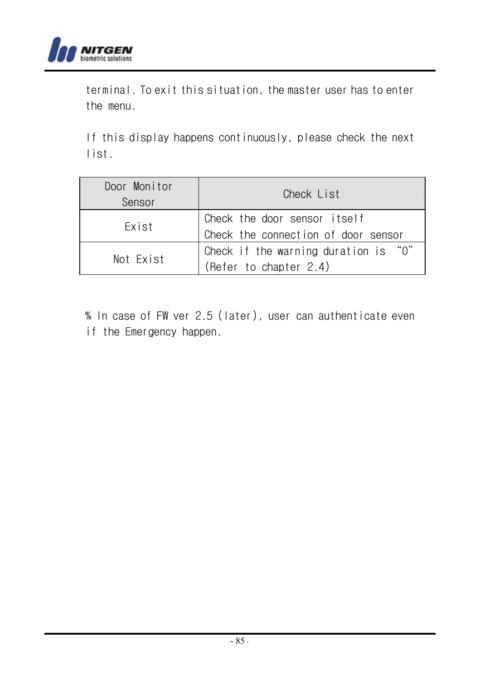

terminal. To exit this situation, the master user has to enter the menu.

If this display happens continuously, please check the next list.

| Door Monitor<br>Sensor | Check List                                                          |  |
|------------------------|---------------------------------------------------------------------|--|
| Exist                  | Check the door sensor itself<br>Check the connection of door sensor |  |
| Not Exist              | Check if the warning duration is "0"<br>(Refer to chapter 2.4)      |  |

% In case of FW ver 2.5 (later), user can authenticate even if the Emergency happen.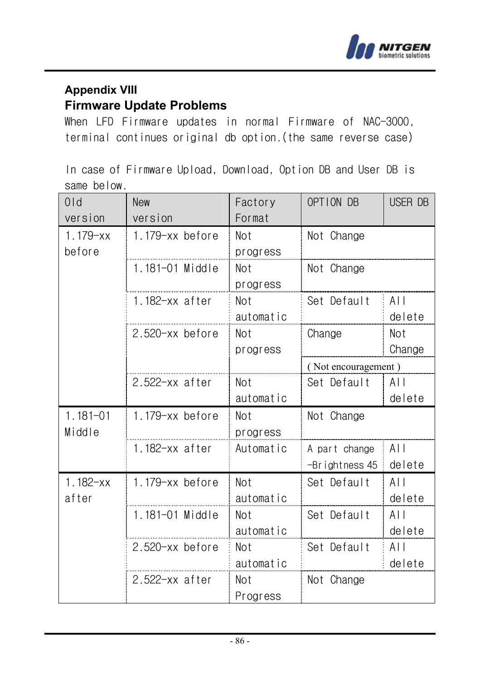

## **Appendix VIII Firmware Update Problems**

When LFD Firmware updates in normal Firmware of NAC-3000, terminal continues original db option.(the same reverse case)

In case of Firmware Upload, Download, Option DB and User DB is same below.

| $0l$ d       | <b>New</b>          | Factory    | OPTION DB           | USER DB  |
|--------------|---------------------|------------|---------------------|----------|
| version      | version             | Format     |                     |          |
| $1.179 - xx$ | $1.179 - xx$ before | Not        | Not Change          |          |
| before       |                     | progress   |                     |          |
|              | 1.181-01 Middle     | Not        | Not Change          |          |
|              |                     | progress   |                     |          |
|              | $1.182 - xx$ after  | Not        | Set Default         | $A \mid$ |
|              |                     | automatic  |                     | delete   |
|              | $2.520 - xx$ before | Not        | Change              | Not      |
|              |                     | progress   |                     | Change   |
|              |                     |            | (Not encouragement) |          |
|              | $2.522$ -xx after   | Not        | Set Default         | AII      |
|              |                     | automatic  |                     | delete   |
| $1.181 - 01$ | 1.179-xx before     | Not        | Not Change          |          |
| Middle       |                     | progress   |                     |          |
|              | 1.182-xx after      | Automatic  | A part change       | $A \mid$ |
|              |                     |            | -Brightness 45      | delete   |
| $1.182 - xx$ | $1.179 - xx$ before | Not        | Set Default         | $A$      |
| after        |                     | automatic  |                     | delete   |
|              | 1.181-01 Middle     | <b>Not</b> | Set Default         | A        |
|              |                     | automatic  |                     | delete   |
|              | $2.520 - xx$ before | Not        | Set Default         | $A \mid$ |
|              |                     | automatic  |                     | delete   |
|              | $2.522$ -xx after   | Not        | Not Change          |          |
|              |                     | Progress   |                     |          |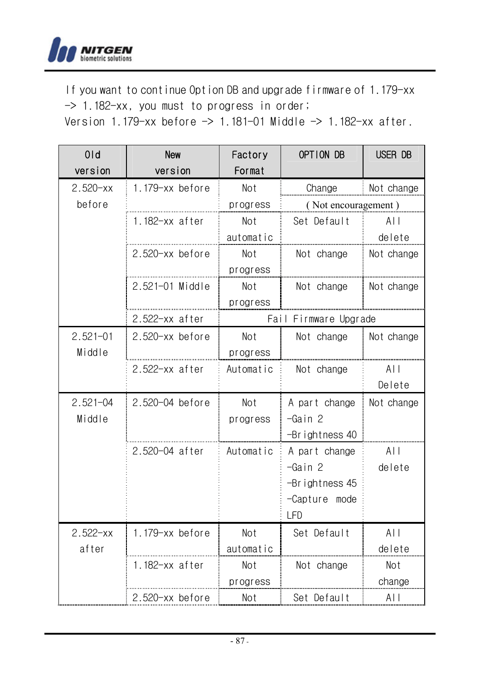

If you want to continue Option DB and upgrade firmware of 1.179-xx -> 1.182-xx, you must to progress in order;

Version 1.179-xx before  $\rightarrow$  1.181-01 Middle  $\rightarrow$  1.182-xx after.

| 0 <sub>1d</sub> | New                 | Factory    | OPTION DB           | USER DB        |
|-----------------|---------------------|------------|---------------------|----------------|
| version         | version             | Format     |                     |                |
| $2.520 - xx$    | 1.179-xx before     | Not        | Change              | Not change     |
| before          |                     | progress   | (Not encouragement) |                |
|                 | $1.182 - xx$ after  | Not        | Set Default         | $A \mid \cdot$ |
|                 |                     | automatic  |                     | delete         |
|                 | $2.520 - xx$ before | Not        | Not change          | Not change     |
|                 |                     | progress   |                     |                |
|                 | 2.521-01 Middle     | Not        | Not change          | Not change     |
|                 |                     | progress   |                     |                |
|                 | $2.522 - xx$ after  | Fail       | Firmware Upgrade    |                |
| $2.521 - 01$    | $2.520 - xx$ before | <b>Not</b> | Not change          | Not change     |
| Middle          |                     | progress   |                     |                |
|                 | $2.522 - xx$ after  | Automatic  | Not change          | ALL            |
|                 |                     |            |                     | Delete         |
| $2.521 - 04$    | 2.520-04 before     | Not        | A part change       | Not change     |
| Middle          |                     | progress   | -Gain 2             |                |
|                 |                     |            | $-Br$ ightness 40   |                |
|                 | 2.520-04 after      | Automatic  | A part change       | A              |
|                 |                     |            | -Gain 2             | delete         |
|                 |                     |            | -Brightness 45      |                |
|                 |                     |            | -Capture mode       |                |
|                 |                     |            | <b>LFD</b>          |                |
| $2.522 - xx$    | 1.179-xx before     | Not        | Set Default         | $A$            |
| after           |                     | automatic  |                     | delete         |
|                 | $1.182 - xx$ after  | Not        | Not change          | Not            |
|                 |                     | progress   |                     | change         |
|                 | $2.520 - xx$ before | Not        | Set Default         | $A \mid$       |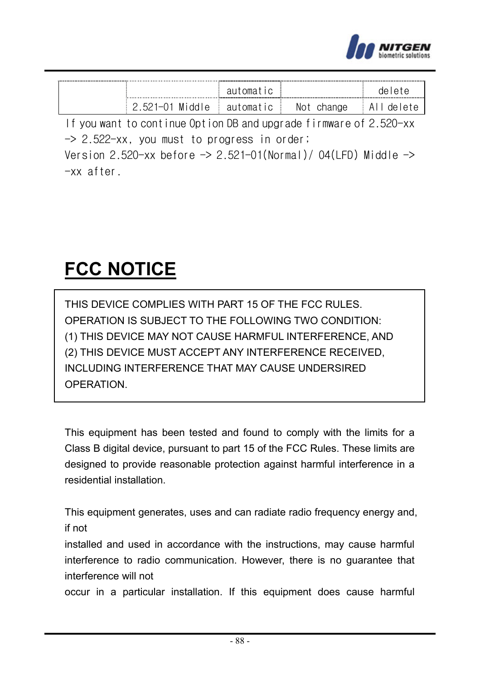

|    |    | ٦Α |
|----|----|----|
| NЛ | ΝO |    |

If you want to continue Option DB and upgrade firmware of 2.520-xx -> 2.522-xx, you must to progress in order; Version 2.520-xx before  $\rightarrow$  2.521-01(Normal)/04(LFD) Middle  $\rightarrow$ 

-xx after.

# **FCC NOTICE**

THIS DEVICE COMPLIES WITH PART 15 OF THE FCC RULES. OPERATION IS SUBJECT TO THE FOLLOWING TWO CONDITION: (1) THIS DEVICE MAY NOT CAUSE HARMFUL INTERFERENCE, AND (2) THIS DEVICE MUST ACCEPT ANY INTERFERENCE RECEIVED, INCLUDING INTERFERENCE THAT MAY CAUSE UNDERSIRED OPERATION.

This equipment has been tested and found to comply with the limits for a Class B digital device, pursuant to part 15 of the FCC Rules. These limits are designed to provide reasonable protection against harmful interference in a residential installation.

This equipment generates, uses and can radiate radio frequency energy and, if not

installed and used in accordance with the instructions, may cause harmful interference to radio communication. However, there is no guarantee that interference will not

occur in a particular installation. If this equipment does cause harmful